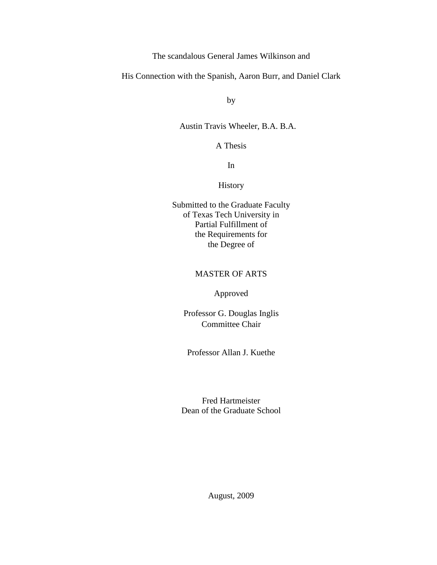The scandalous General James Wilkinson and

His Connection with the Spanish, Aaron Burr, and Daniel Clark

by

#### Austin Travis Wheeler, B.A. B.A.

A Thesis

In

### History

Submitted to the Graduate Faculty of Texas Tech University in Partial Fulfillment of the Requirements for the Degree of

#### MASTER OF ARTS

#### Approved

Professor G. Douglas Inglis Committee Chair

Professor Allan J. Kuethe

Fred Hartmeister Dean of the Graduate School

August, 2009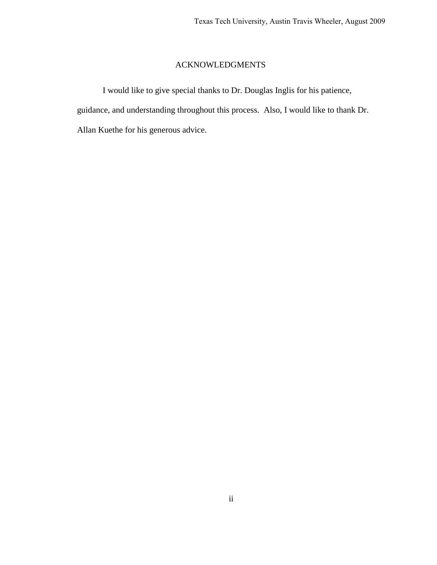# ACKNOWLEDGMENTS

I would like to give special thanks to Dr. Douglas Inglis for his patience, guidance, and understanding throughout this process. Also, I would like to thank Dr. Allan Kuethe for his generous advice.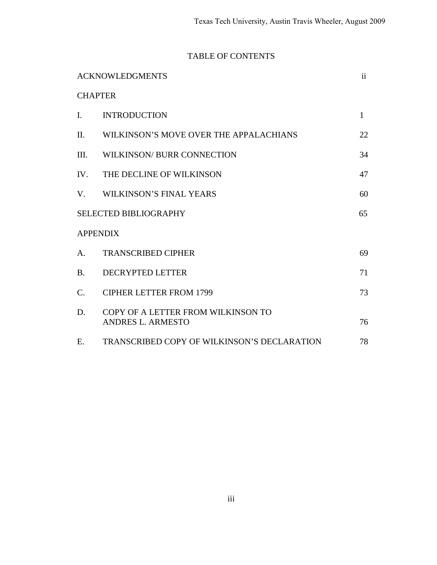# TABLE OF CONTENTS

|                              | <b>ACKNOWLEDGMENTS</b>                                         | ii           |
|------------------------------|----------------------------------------------------------------|--------------|
|                              | <b>CHAPTER</b>                                                 |              |
| $\mathbf{I}$ .               | <b>INTRODUCTION</b>                                            | $\mathbf{1}$ |
| II.                          | WILKINSON'S MOVE OVER THE APPALACHIANS                         | 22           |
| III.                         | WILKINSON/ BURR CONNECTION                                     | 34           |
| IV.                          | THE DECLINE OF WILKINSON                                       | 47           |
| V.                           | WILKINSON'S FINAL YEARS                                        | 60           |
| <b>SELECTED BIBLIOGRAPHY</b> |                                                                | 65           |
|                              | <b>APPENDIX</b>                                                |              |
| $A_{\cdot}$                  | <b>TRANSCRIBED CIPHER</b>                                      | 69           |
| <b>B.</b>                    | <b>DECRYPTED LETTER</b>                                        | 71           |
| $\mathbf{C}$ .               | <b>CIPHER LETTER FROM 1799</b>                                 | 73           |
| D.                           | COPY OF A LETTER FROM WILKINSON TO<br><b>ANDRES L. ARMESTO</b> | 76           |
| E.                           | TRANSCRIBED COPY OF WILKINSON'S DECLARATION                    | 78           |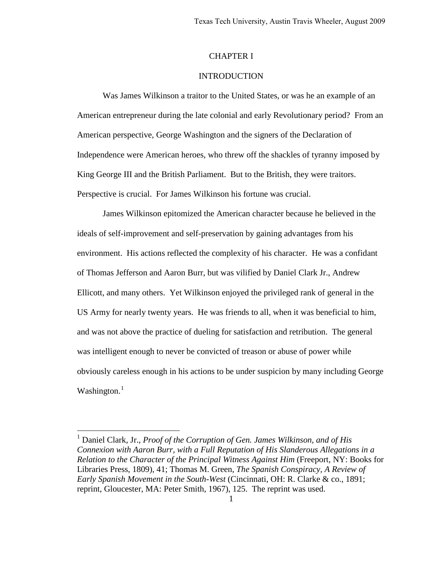#### CHAPTER I

#### INTRODUCTION

Was James Wilkinson a traitor to the United States, or was he an example of an American entrepreneur during the late colonial and early Revolutionary period? From an American perspective, George Washington and the signers of the Declaration of Independence were American heroes, who threw off the shackles of tyranny imposed by King George III and the British Parliament. But to the British, they were traitors. Perspective is crucial. For James Wilkinson his fortune was crucial.

James Wilkinson epitomized the American character because he believed in the ideals of self-improvement and self-preservation by gaining advantages from his environment. His actions reflected the complexity of his character. He was a confidant of Thomas Jefferson and Aaron Burr, but was vilified by Daniel Clark Jr., Andrew Ellicott, and many others. Yet Wilkinson enjoyed the privileged rank of general in the US Army for nearly twenty years. He was friends to all, when it was beneficial to him, and was not above the practice of dueling for satisfaction and retribution. The general was intelligent enough to never be convicted of treason or abuse of power while obviously careless enough in his actions to be under suspicion by many including George Washington. $<sup>1</sup>$  $<sup>1</sup>$  $<sup>1</sup>$ </sup>

<span id="page-3-0"></span><sup>&</sup>lt;sup>1</sup> Daniel Clark, Jr., *Proof of the Corruption of Gen. James Wilkinson, and of His Connexion with Aaron Burr, with a Full Reputation of His Slanderous Allegations in a Relation to the Character of the Principal Witness Against Him* (Freeport, NY: Books for Libraries Press, 1809), 41; Thomas M. Green, *The Spanish Conspiracy, A Review of Early Spanish Movement in the South-West* (Cincinnati, OH: R. Clarke & co., 1891; reprint, Gloucester, MA: Peter Smith, 1967), 125. The reprint was used.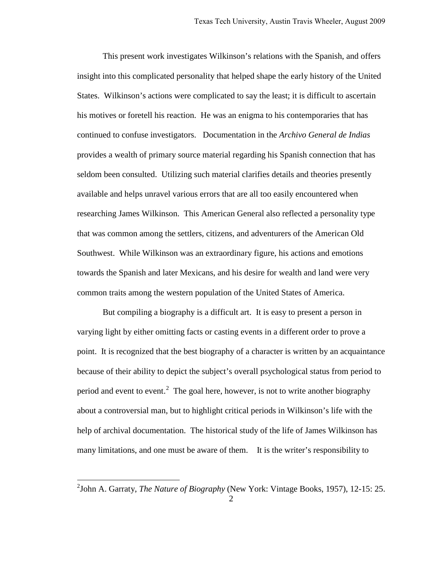This present work investigates Wilkinson's relations with the Spanish, and offers insight into this complicated personality that helped shape the early history of the United States. Wilkinson's actions were complicated to say the least; it is difficult to ascertain his motives or foretell his reaction. He was an enigma to his contemporaries that has continued to confuse investigators. Documentation in the *Archivo General de Indias*  provides a wealth of primary source material regarding his Spanish connection that has seldom been consulted. Utilizing such material clarifies details and theories presently available and helps unravel various errors that are all too easily encountered when researching James Wilkinson. This American General also reflected a personality type that was common among the settlers, citizens, and adventurers of the American Old Southwest. While Wilkinson was an extraordinary figure, his actions and emotions towards the Spanish and later Mexicans, and his desire for wealth and land were very common traits among the western population of the United States of America.

But compiling a biography is a difficult art. It is easy to present a person in varying light by either omitting facts or casting events in a different order to prove a point. It is recognized that the best biography of a character is written by an acquaintance because of their ability to depict the subject's overall psychological status from period to period and event to event.<sup>[2](#page-4-0)</sup> The goal here, however, is not to write another biography about a controversial man, but to highlight critical periods in Wilkinson's life with the help of archival documentation. The historical study of the life of James Wilkinson has many limitations, and one must be aware of them. It is the writer's responsibility to

<span id="page-4-0"></span><sup>2</sup> John A. Garraty, *The Nature of Biography* (New York: Vintage Books, 1957), 12-15: 25.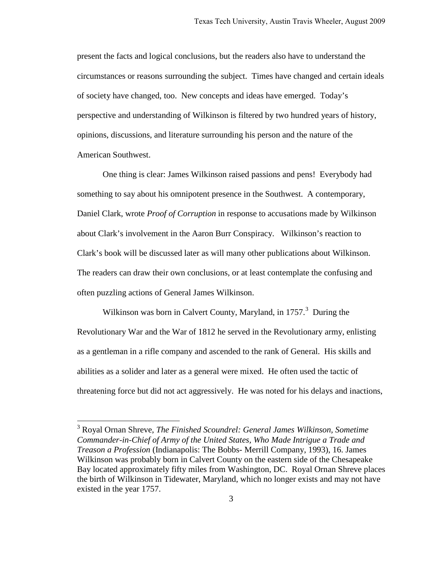present the facts and logical conclusions, but the readers also have to understand the circumstances or reasons surrounding the subject. Times have changed and certain ideals of society have changed, too. New concepts and ideas have emerged. Today's perspective and understanding of Wilkinson is filtered by two hundred years of history, opinions, discussions, and literature surrounding his person and the nature of the American Southwest.

One thing is clear: James Wilkinson raised passions and pens! Everybody had something to say about his omnipotent presence in the Southwest. A contemporary, Daniel Clark, wrote *Proof of Corruption* in response to accusations made by Wilkinson about Clark's involvement in the Aaron Burr Conspiracy. Wilkinson's reaction to Clark's book will be discussed later as will many other publications about Wilkinson. The readers can draw their own conclusions, or at least contemplate the confusing and often puzzling actions of General James Wilkinson.

Wilkinson was born in Calvert County, Maryland, in 1757.<sup>[3](#page-5-0)</sup> During the Revolutionary War and the War of 1812 he served in the Revolutionary army, enlisting as a gentleman in a rifle company and ascended to the rank of General. His skills and abilities as a solider and later as a general were mixed. He often used the tactic of threatening force but did not act aggressively. He was noted for his delays and inactions,

<span id="page-5-0"></span><sup>3</sup> Royal Ornan Shreve, *The Finished Scoundrel: General James Wilkinson, Sometime Commander-in-Chief of Army of the United States, Who Made Intrigue a Trade and Treason a Profession* (Indianapolis: The Bobbs- Merrill Company, 1993), 16. James Wilkinson was probably born in Calvert County on the eastern side of the Chesapeake Bay located approximately fifty miles from Washington, DC. Royal Ornan Shreve places the birth of Wilkinson in Tidewater, Maryland, which no longer exists and may not have existed in the year 1757.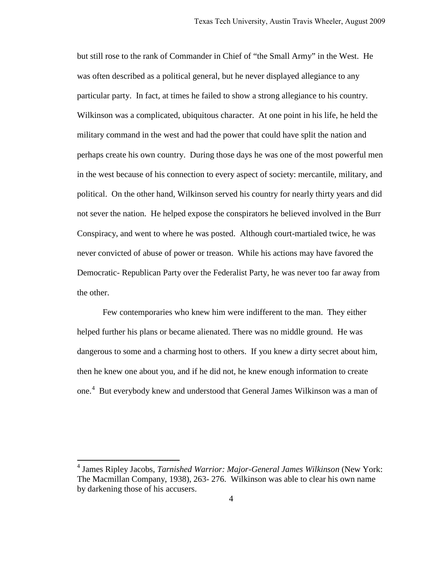but still rose to the rank of Commander in Chief of "the Small Army" in the West. He was often described as a political general, but he never displayed allegiance to any particular party. In fact, at times he failed to show a strong allegiance to his country. Wilkinson was a complicated, ubiquitous character. At one point in his life, he held the military command in the west and had the power that could have split the nation and perhaps create his own country. During those days he was one of the most powerful men in the west because of his connection to every aspect of society: mercantile, military, and political. On the other hand, Wilkinson served his country for nearly thirty years and did not sever the nation. He helped expose the conspirators he believed involved in the Burr Conspiracy, and went to where he was posted. Although court-martialed twice, he was never convicted of abuse of power or treason. While his actions may have favored the Democratic- Republican Party over the Federalist Party, he was never too far away from the other.

 Few contemporaries who knew him were indifferent to the man. They either helped further his plans or became alienated. There was no middle ground. He was dangerous to some and a charming host to others. If you knew a dirty secret about him, then he knew one about you, and if he did not, he knew enough information to create one.<sup>[4](#page-6-0)</sup> But everybody knew and understood that General James Wilkinson was a man of

<span id="page-6-0"></span><sup>4</sup> James Ripley Jacobs, *Tarnished Warrior: Major-General James Wilkinson* (New York: The Macmillan Company, 1938), 263- 276. Wilkinson was able to clear his own name by darkening those of his accusers.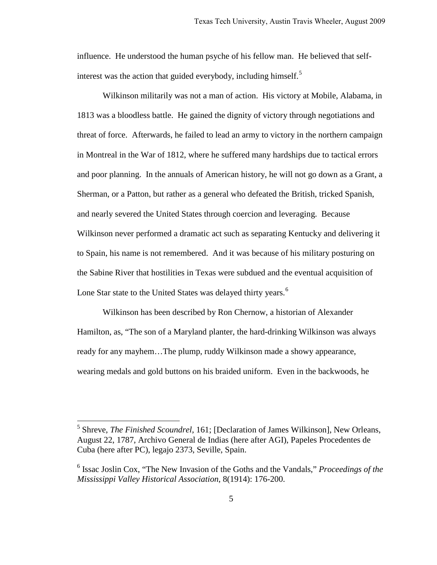influence. He understood the human psyche of his fellow man. He believed that self-interest was the action that guided everybody, including himself.<sup>[5](#page-7-0)</sup>

 Wilkinson militarily was not a man of action. His victory at Mobile, Alabama, in 1813 was a bloodless battle. He gained the dignity of victory through negotiations and threat of force. Afterwards, he failed to lead an army to victory in the northern campaign in Montreal in the War of 1812, where he suffered many hardships due to tactical errors and poor planning. In the annuals of American history, he will not go down as a Grant, a Sherman, or a Patton, but rather as a general who defeated the British, tricked Spanish, and nearly severed the United States through coercion and leveraging. Because Wilkinson never performed a dramatic act such as separating Kentucky and delivering it to Spain, his name is not remembered. And it was because of his military posturing on the Sabine River that hostilities in Texas were subdued and the eventual acquisition of Lone Star state to the United States was delayed thirty years.<sup>[6](#page-7-1)</sup>

Wilkinson has been described by Ron Chernow, a historian of Alexander Hamilton, as, "The son of a Maryland planter, the hard-drinking Wilkinson was always ready for any mayhem…The plump, ruddy Wilkinson made a showy appearance, wearing medals and gold buttons on his braided uniform. Even in the backwoods, he

<span id="page-7-0"></span><sup>5</sup> Shreve, *The Finished Scoundrel*, 161; [Declaration of James Wilkinson], New Orleans, August 22, 1787, Archivo General de Indias (here after AGI), Papeles Procedentes de Cuba (here after PC), legajo 2373, Seville, Spain.

<span id="page-7-1"></span><sup>6</sup> Issac Joslin Cox, "The New Invasion of the Goths and the Vandals," *Proceedings of the Mississippi Valley Historical Association*, 8(1914): 176-200.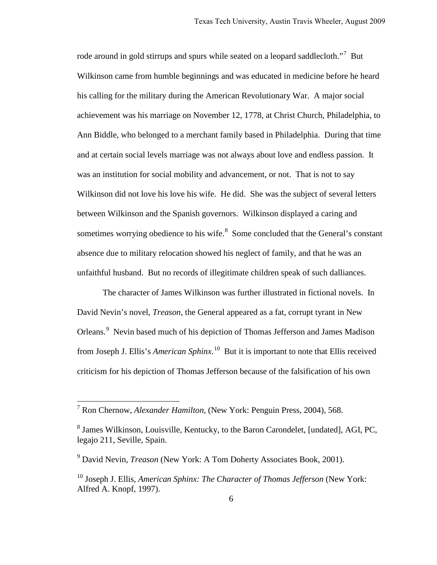rode around in gold stirrups and spurs while seated on a leopard saddlecloth."<sup>[7](#page-8-0)</sup> But Wilkinson came from humble beginnings and was educated in medicine before he heard his calling for the military during the American Revolutionary War. A major social achievement was his marriage on November 12, 1778, at Christ Church, Philadelphia, to Ann Biddle, who belonged to a merchant family based in Philadelphia. During that time and at certain social levels marriage was not always about love and endless passion. It was an institution for social mobility and advancement, or not. That is not to say Wilkinson did not love his love his wife. He did. She was the subject of several letters between Wilkinson and the Spanish governors. Wilkinson displayed a caring and sometimes worrying obedience to his wife. $8$  Some concluded that the General's constant absence due to military relocation showed his neglect of family, and that he was an unfaithful husband. But no records of illegitimate children speak of such dalliances.

The character of James Wilkinson was further illustrated in fictional novels. In David Nevin's novel, *Treason*, the General appeared as a fat, corrupt tyrant in New Orleans.<sup>[9](#page-8-2)</sup> Nevin based much of his depiction of Thomas Jefferson and James Madison from Joseph J. Ellis's *American Sphinx*. [10](#page-8-3) But it is important to note that Ellis received criticism for his depiction of Thomas Jefferson because of the falsification of his own

<span id="page-8-0"></span> 7 Ron Chernow, *Alexander Hamilton*, (New York: Penguin Press, 2004), 568.

<span id="page-8-1"></span><sup>&</sup>lt;sup>8</sup> James Wilkinson, Louisville, Kentucky, to the Baron Carondelet, [undated], AGI, PC, legajo 211, Seville, Spain.

<span id="page-8-2"></span><sup>9</sup> David Nevin, *Treason* (New York: A Tom Doherty Associates Book, 2001).

<span id="page-8-3"></span><sup>10</sup> Joseph J. Ellis, *American Sphinx: The Character of Thomas Jefferson* (New York: Alfred A. Knopf, 1997).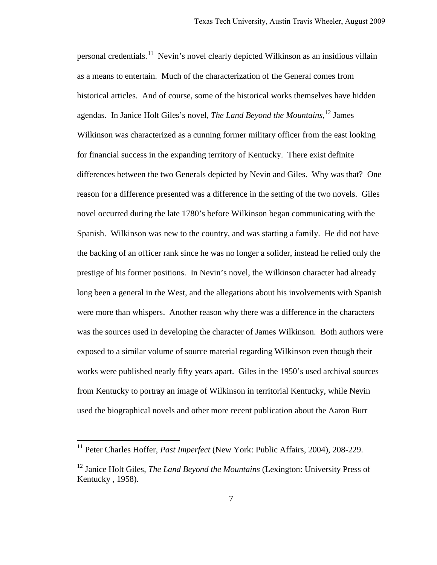personal credentials.<sup>[11](#page-9-0)</sup> Nevin's novel clearly depicted Wilkinson as an insidious villain as a means to entertain. Much of the characterization of the General comes from historical articles. And of course, some of the historical works themselves have hidden agendas. In Janice Holt Giles's novel, *The Land Beyond the Mountains*, [12](#page-9-1) James Wilkinson was characterized as a cunning former military officer from the east looking for financial success in the expanding territory of Kentucky. There exist definite differences between the two Generals depicted by Nevin and Giles. Why was that? One reason for a difference presented was a difference in the setting of the two novels. Giles novel occurred during the late 1780's before Wilkinson began communicating with the Spanish. Wilkinson was new to the country, and was starting a family. He did not have the backing of an officer rank since he was no longer a solider, instead he relied only the prestige of his former positions. In Nevin's novel, the Wilkinson character had already long been a general in the West, and the allegations about his involvements with Spanish were more than whispers. Another reason why there was a difference in the characters was the sources used in developing the character of James Wilkinson. Both authors were exposed to a similar volume of source material regarding Wilkinson even though their works were published nearly fifty years apart. Giles in the 1950's used archival sources from Kentucky to portray an image of Wilkinson in territorial Kentucky, while Nevin used the biographical novels and other more recent publication about the Aaron Burr

<span id="page-9-0"></span><sup>&</sup>lt;sup>11</sup> Peter Charles Hoffer, *Past Imperfect* (New York: Public Affairs, 2004), 208-229.

<span id="page-9-1"></span><sup>12</sup> Janice Holt Giles, *The Land Beyond the Mountains* (Lexington: University Press of Kentucky , 1958).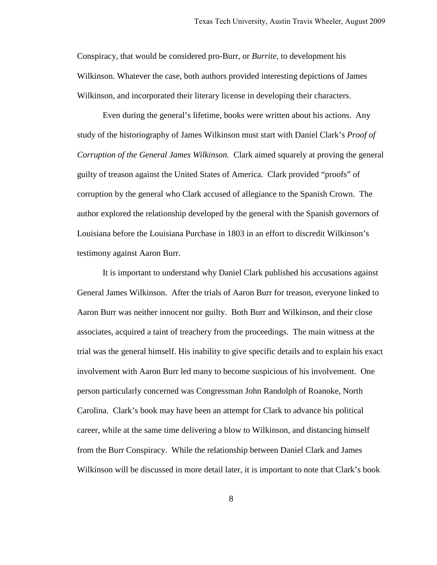Conspiracy, that would be considered pro-Burr, or *Burrite,* to development his Wilkinson. Whatever the case, both authors provided interesting depictions of James Wilkinson, and incorporated their literary license in developing their characters.

Even during the general's lifetime, books were written about his actions. Any study of the historiography of James Wilkinson must start with Daniel Clark's *Proof of Corruption of the General James Wilkinson.* Clark aimed squarely at proving the general guilty of treason against the United States of America. Clark provided "proofs" of corruption by the general who Clark accused of allegiance to the Spanish Crown. The author explored the relationship developed by the general with the Spanish governors of Louisiana before the Louisiana Purchase in 1803 in an effort to discredit Wilkinson's testimony against Aaron Burr.

It is important to understand why Daniel Clark published his accusations against General James Wilkinson. After the trials of Aaron Burr for treason, everyone linked to Aaron Burr was neither innocent nor guilty. Both Burr and Wilkinson, and their close associates, acquired a taint of treachery from the proceedings. The main witness at the trial was the general himself. His inability to give specific details and to explain his exact involvement with Aaron Burr led many to become suspicious of his involvement. One person particularly concerned was Congressman John Randolph of Roanoke, North Carolina. Clark's book may have been an attempt for Clark to advance his political career, while at the same time delivering a blow to Wilkinson, and distancing himself from the Burr Conspiracy. While the relationship between Daniel Clark and James Wilkinson will be discussed in more detail later, it is important to note that Clark's book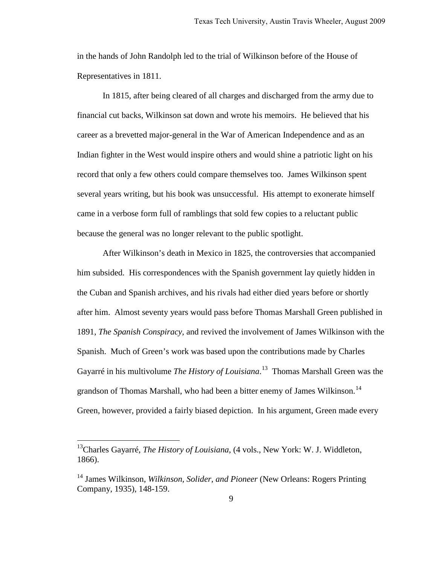in the hands of John Randolph led to the trial of Wilkinson before of the House of Representatives in 1811.

In 1815, after being cleared of all charges and discharged from the army due to financial cut backs, Wilkinson sat down and wrote his memoirs. He believed that his career as a brevetted major-general in the War of American Independence and as an Indian fighter in the West would inspire others and would shine a patriotic light on his record that only a few others could compare themselves too. James Wilkinson spent several years writing, but his book was unsuccessful. His attempt to exonerate himself came in a verbose form full of ramblings that sold few copies to a reluctant public because the general was no longer relevant to the public spotlight.

After Wilkinson's death in Mexico in 1825, the controversies that accompanied him subsided. His correspondences with the Spanish government lay quietly hidden in the Cuban and Spanish archives, and his rivals had either died years before or shortly after him. Almost seventy years would pass before Thomas Marshall Green published in 1891, *The Spanish Conspiracy*, and revived the involvement of James Wilkinson with the Spanish. Much of Green's work was based upon the contributions made by Charles Gayarré in his multivolume *The History of Louisiana*. [13](#page-11-0) Thomas Marshall Green was the grandson of Thomas Marshall, who had been a bitter enemy of James Wilkinson.<sup>[14](#page-11-1)</sup> Green, however, provided a fairly biased depiction. In his argument, Green made every

<span id="page-11-0"></span><sup>13</sup>Charles Gayarré, *The History of Louisiana*, (4 vols., New York: W. J. Widdleton, 1866).

<span id="page-11-1"></span><sup>14</sup> James Wilkinson, *Wilkinson, Solider, and Pioneer* (New Orleans: Rogers Printing Company, 1935), 148-159.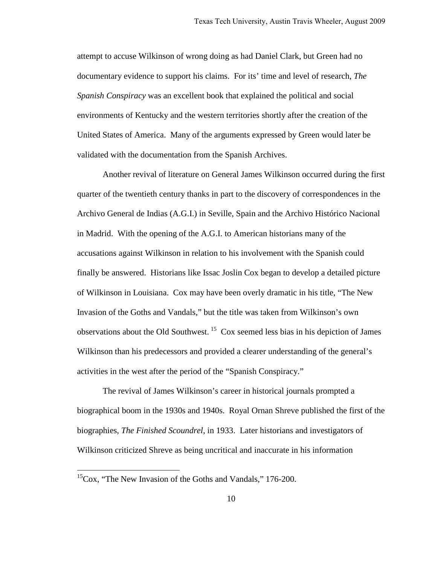attempt to accuse Wilkinson of wrong doing as had Daniel Clark, but Green had no documentary evidence to support his claims. For its' time and level of research, *The Spanish Conspiracy* was an excellent book that explained the political and social environments of Kentucky and the western territories shortly after the creation of the United States of America. Many of the arguments expressed by Green would later be validated with the documentation from the Spanish Archives.

Another revival of literature on General James Wilkinson occurred during the first quarter of the twentieth century thanks in part to the discovery of correspondences in the Archivo General de Indias (A.G.I.) in Seville, Spain and the Archivo Histórico Nacional in Madrid. With the opening of the A.G.I. to American historians many of the accusations against Wilkinson in relation to his involvement with the Spanish could finally be answered. Historians like Issac Joslin Cox began to develop a detailed picture of Wilkinson in Louisiana. Cox may have been overly dramatic in his title, "The New Invasion of the Goths and Vandals," but the title was taken from Wilkinson's own observations about the Old Southwest.<sup>[15](#page-12-0)</sup> Cox seemed less bias in his depiction of James Wilkinson than his predecessors and provided a clearer understanding of the general's activities in the west after the period of the "Spanish Conspiracy."

The revival of James Wilkinson's career in historical journals prompted a biographical boom in the 1930s and 1940s. Royal Ornan Shreve published the first of the biographies, *The Finished Scoundrel*, in 1933. Later historians and investigators of Wilkinson criticized Shreve as being uncritical and inaccurate in his information

<span id="page-12-0"></span><sup>&</sup>lt;sup>15</sup>Cox, "The New Invasion of the Goths and Vandals," 176-200.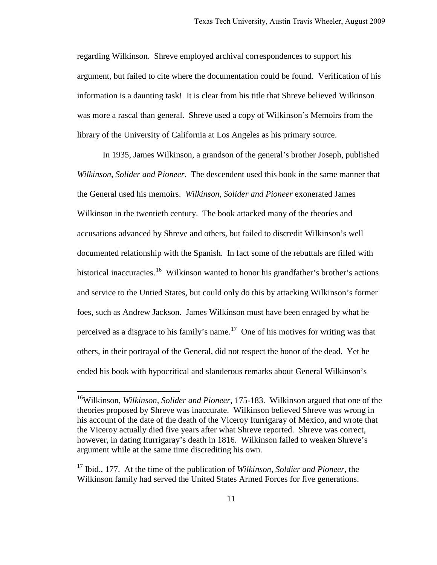regarding Wilkinson. Shreve employed archival correspondences to support his argument, but failed to cite where the documentation could be found. Verification of his information is a daunting task! It is clear from his title that Shreve believed Wilkinson was more a rascal than general. Shreve used a copy of Wilkinson's Memoirs from the library of the University of California at Los Angeles as his primary source.

In 1935, James Wilkinson, a grandson of the general's brother Joseph, published *Wilkinson, Solider and Pioneer*. The descendent used this book in the same manner that the General used his memoirs. *Wilkinson, Solider and Pioneer* exonerated James Wilkinson in the twentieth century. The book attacked many of the theories and accusations advanced by Shreve and others, but failed to discredit Wilkinson's well documented relationship with the Spanish. In fact some of the rebuttals are filled with historical inaccuracies.<sup>16</sup> Wilkinson wanted to honor his grandfather's brother's actions and service to the Untied States, but could only do this by attacking Wilkinson's former foes, such as Andrew Jackson. James Wilkinson must have been enraged by what he perceived as a disgrace to his family's name.<sup>[17](#page-13-1)</sup> One of his motives for writing was that others, in their portrayal of the General, did not respect the honor of the dead. Yet he ended his book with hypocritical and slanderous remarks about General Wilkinson's

<span id="page-13-0"></span><sup>16</sup>Wilkinson, *Wilkinson, Solider and Pioneer*, 175-183. Wilkinson argued that one of the theories proposed by Shreve was inaccurate. Wilkinson believed Shreve was wrong in his account of the date of the death of the Viceroy Iturrigaray of Mexico, and wrote that the Viceroy actually died five years after what Shreve reported. Shreve was correct, however, in dating Iturrigaray's death in 1816. Wilkinson failed to weaken Shreve's argument while at the same time discrediting his own.

<span id="page-13-1"></span><sup>17</sup> Ibid., 177. At the time of the publication of *Wilkinson, Soldier and Pioneer,* the Wilkinson family had served the United States Armed Forces for five generations.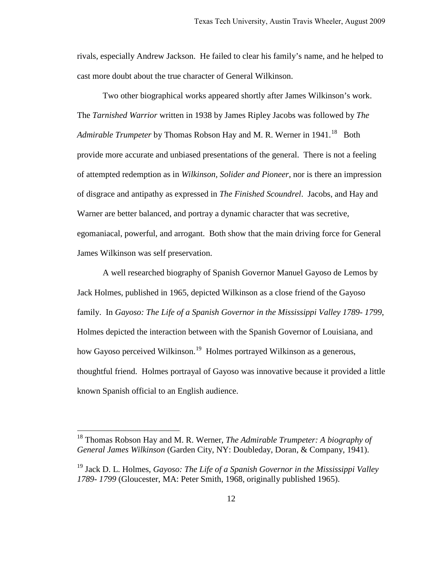rivals, especially Andrew Jackson. He failed to clear his family's name, and he helped to cast more doubt about the true character of General Wilkinson.

Two other biographical works appeared shortly after James Wilkinson's work. The *Tarnished Warrior* written in 1938 by James Ripley Jacobs was followed by *The*  Admirable Trumpeter by Thomas Robson Hay and M. R. Werner in 1941.<sup>[18](#page-14-0)</sup> Both provide more accurate and unbiased presentations of the general. There is not a feeling of attempted redemption as in *Wilkinson, Solider and Pioneer*, nor is there an impression of disgrace and antipathy as expressed in *The Finished Scoundrel*. Jacobs, and Hay and Warner are better balanced, and portray a dynamic character that was secretive, egomaniacal, powerful, and arrogant. Both show that the main driving force for General James Wilkinson was self preservation.

A well researched biography of Spanish Governor Manuel Gayoso de Lemos by Jack Holmes, published in 1965, depicted Wilkinson as a close friend of the Gayoso family. In *Gayoso: The Life of a Spanish Governor in the Mississippi Valley 1789- 1799*, Holmes depicted the interaction between with the Spanish Governor of Louisiana, and how Gayoso perceived Wilkinson.<sup>[19](#page-14-1)</sup> Holmes portrayed Wilkinson as a generous, thoughtful friend. Holmes portrayal of Gayoso was innovative because it provided a little known Spanish official to an English audience.

<span id="page-14-0"></span><sup>18</sup> Thomas Robson Hay and M. R. Werner, *The Admirable Trumpeter: A biography of General James Wilkinson* (Garden City, NY: Doubleday, Doran, & Company, 1941).

<span id="page-14-1"></span><sup>19</sup> Jack D. L. Holmes, *Gayoso: The Life of a Spanish Governor in the Mississippi Valley 1789- 1799* (Gloucester, MA: Peter Smith, 1968, originally published 1965).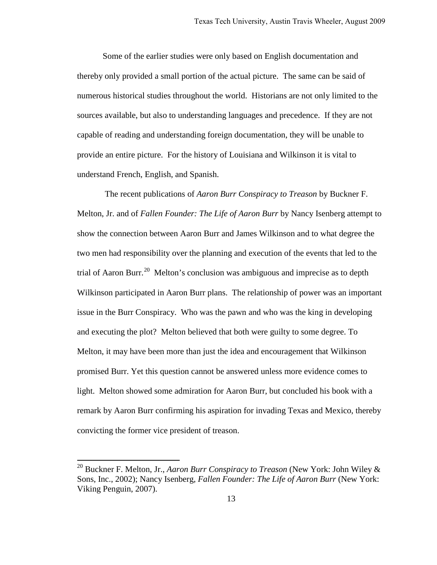Some of the earlier studies were only based on English documentation and thereby only provided a small portion of the actual picture. The same can be said of numerous historical studies throughout the world. Historians are not only limited to the sources available, but also to understanding languages and precedence. If they are not capable of reading and understanding foreign documentation, they will be unable to provide an entire picture. For the history of Louisiana and Wilkinson it is vital to understand French, English, and Spanish.

 The recent publications of *Aaron Burr Conspiracy to Treason* by Buckner F. Melton, Jr. and of *Fallen Founder: The Life of Aaron Burr* by Nancy Isenberg attempt to show the connection between Aaron Burr and James Wilkinson and to what degree the two men had responsibility over the planning and execution of the events that led to the trial of Aaron Burr.<sup>[20](#page-15-0)</sup> Melton's conclusion was ambiguous and imprecise as to depth Wilkinson participated in Aaron Burr plans. The relationship of power was an important issue in the Burr Conspiracy. Who was the pawn and who was the king in developing and executing the plot? Melton believed that both were guilty to some degree. To Melton, it may have been more than just the idea and encouragement that Wilkinson promised Burr. Yet this question cannot be answered unless more evidence comes to light. Melton showed some admiration for Aaron Burr, but concluded his book with a remark by Aaron Burr confirming his aspiration for invading Texas and Mexico, thereby convicting the former vice president of treason.

<span id="page-15-0"></span><sup>20</sup> Buckner F. Melton, Jr., *Aaron Burr Conspiracy to Treason* (New York: John Wiley & Sons, Inc., 2002); Nancy Isenberg, *Fallen Founder: The Life of Aaron Burr* (New York: Viking Penguin, 2007).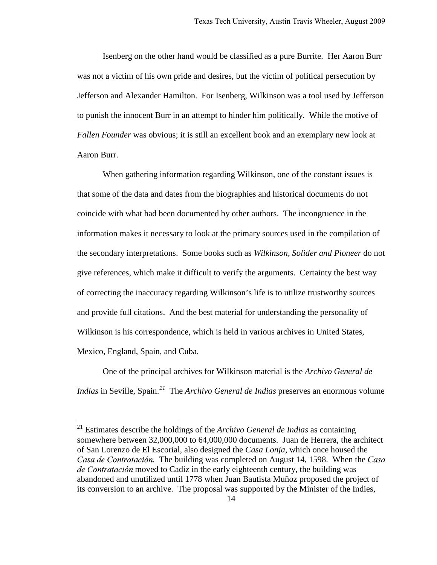Isenberg on the other hand would be classified as a pure Burrite. Her Aaron Burr was not a victim of his own pride and desires, but the victim of political persecution by Jefferson and Alexander Hamilton. For Isenberg, Wilkinson was a tool used by Jefferson to punish the innocent Burr in an attempt to hinder him politically. While the motive of *Fallen Founder* was obvious; it is still an excellent book and an exemplary new look at Aaron Burr.

When gathering information regarding Wilkinson, one of the constant issues is that some of the data and dates from the biographies and historical documents do not coincide with what had been documented by other authors. The incongruence in the information makes it necessary to look at the primary sources used in the compilation of the secondary interpretations. Some books such as *Wilkinson, Solider and Pioneer* do not give references, which make it difficult to verify the arguments. Certainty the best way of correcting the inaccuracy regarding Wilkinson's life is to utilize trustworthy sources and provide full citations. And the best material for understanding the personality of Wilkinson is his correspondence, which is held in various archives in United States, Mexico, England, Spain, and Cuba.

One of the principal archives for Wilkinson material is the *Archivo General de Indias* in Seville, Spain.<sup>[21](#page-16-0)</sup> The *Archivo General de Indias* preserves an enormous volume

<span id="page-16-0"></span><sup>21</sup> Estimates describe the holdings of the *Archivo General de Indias* as containing somewhere between 32,000,000 to 64,000,000 documents. Juan de Herrera, the architect of San Lorenzo de El Escorial, also designed the *Casa Lonja*, which once housed the Casa de Contratación. The building was completed on August 14, 1598. When the Casa de Contratación moved to Cadiz in the early eighteenth century, the building was abandoned and unutilized until 1778 when Juan Bautista Muñoz proposed the project of its conversion to an archive. The proposal was supported by the Minister of the Indies,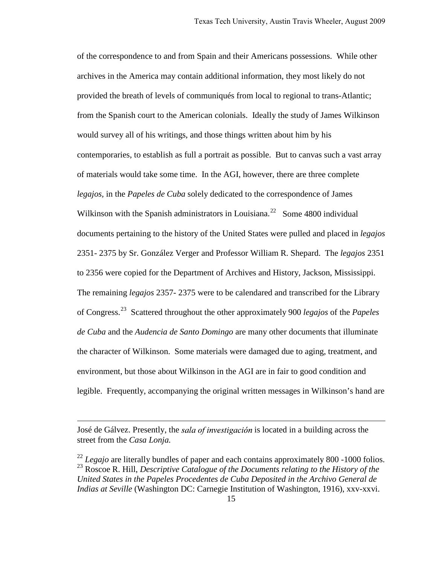of the correspondence to and from Spain and their Americans possessions. While other archives in the America may contain additional information, they most likely do not provided the breath of levels of communiqués from local to regional to trans-Atlantic; from the Spanish court to the American colonials. Ideally the study of James Wilkinson would survey all of his writings, and those things written about him by his contemporaries, to establish as full a portrait as possible. But to canvas such a vast array of materials would take some time. In the AGI, however, there are three complete *legajos,* in the *Papeles de Cuba* solely dedicated to the correspondence of James Wilkinson with the Spanish administrators in Louisiana.<sup>[22](#page-17-0)</sup> Some 4800 individual documents pertaining to the history of the United States were pulled and placed in *legajos* 2351- 2375 by Sr. González Verger and Professor William R. Shepard. The *legajos* 2351 to 2356 were copied for the Department of Archives and History, Jackson, Mississippi. The remaining *legajos* 2357- 2375 were to be calendared and transcribed for the Library of Congress.[23](#page-17-1) Scattered throughout the other approximately 900 *legajos* of the *Papeles de Cuba* and the *Audencia de Santo Domingo* are many other documents that illuminate the character of Wilkinson. Some materials were damaged due to aging, treatment, and environment, but those about Wilkinson in the AGI are in fair to good condition and legible. Frequently, accompanying the original written messages in Wilkinson's hand are

José de Gálvez. Presently, the *sala of investigación* is located in a building across the street from the *Casa Lonja.*

<span id="page-17-1"></span><span id="page-17-0"></span><sup>&</sup>lt;sup>22</sup> *Legajo* are literally bundles of paper and each contains approximately 800 -1000 folios. 23 Roscoe R. Hill, *Descriptive Catalogue of the Documents relating to the History of the United States in the Papeles Procedentes de Cuba Deposited in the Archivo General de Indias at Seville* (Washington DC: Carnegie Institution of Washington, 1916), xxv-xxvi.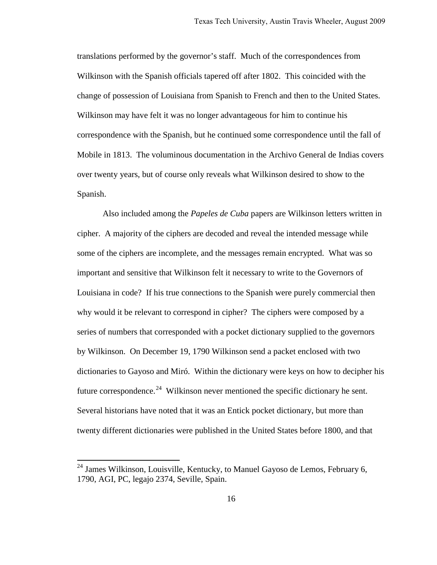translations performed by the governor's staff. Much of the correspondences from Wilkinson with the Spanish officials tapered off after 1802. This coincided with the change of possession of Louisiana from Spanish to French and then to the United States. Wilkinson may have felt it was no longer advantageous for him to continue his correspondence with the Spanish, but he continued some correspondence until the fall of Mobile in 1813. The voluminous documentation in the Archivo General de Indias covers over twenty years, but of course only reveals what Wilkinson desired to show to the Spanish.

 Also included among the *Papeles de Cuba* papers are Wilkinson letters written in cipher. A majority of the ciphers are decoded and reveal the intended message while some of the ciphers are incomplete, and the messages remain encrypted. What was so important and sensitive that Wilkinson felt it necessary to write to the Governors of Louisiana in code? If his true connections to the Spanish were purely commercial then why would it be relevant to correspond in cipher? The ciphers were composed by a series of numbers that corresponded with a pocket dictionary supplied to the governors by Wilkinson. On December 19, 1790 Wilkinson send a packet enclosed with two dictionaries to Gayoso and Miró. Within the dictionary were keys on how to decipher his future correspondence.<sup>[24](#page-18-0)</sup> Wilkinson never mentioned the specific dictionary he sent. Several historians have noted that it was an Entick pocket dictionary, but more than twenty different dictionaries were published in the United States before 1800, and that

<span id="page-18-0"></span> $24$  James Wilkinson, Louisville, Kentucky, to Manuel Gayoso de Lemos, February 6, 1790, AGI, PC, legajo 2374, Seville, Spain.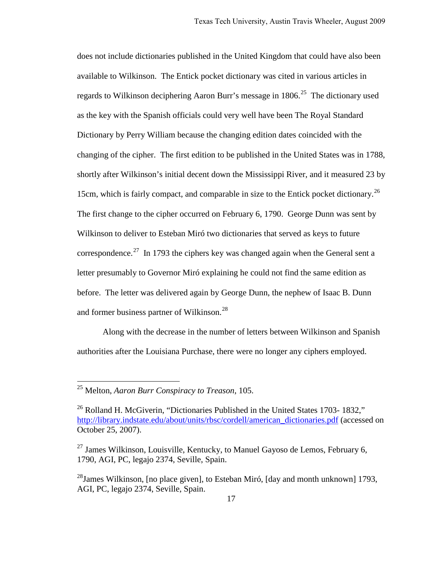does not include dictionaries published in the United Kingdom that could have also been available to Wilkinson. The Entick pocket dictionary was cited in various articles in regards to Wilkinson deciphering Aaron Burr's message in  $1806$ <sup>25</sup>. The dictionary used as the key with the Spanish officials could very well have been The Royal Standard Dictionary by Perry William because the changing edition dates coincided with the changing of the cipher. The first edition to be published in the United States was in 1788, shortly after Wilkinson's initial decent down the Mississippi River, and it measured 23 by 15cm, which is fairly compact, and comparable in size to the Entick pocket dictionary.<sup>26</sup> The first change to the cipher occurred on February 6, 1790. George Dunn was sent by Wilkinson to deliver to Esteban Miró two dictionaries that served as keys to future correspondence.<sup>[27](#page-19-2)</sup> In 1793 the ciphers key was changed again when the General sent a letter presumably to Governor Miró explaining he could not find the same edition as before. The letter was delivered again by George Dunn, the nephew of Isaac B. Dunn and former business partner of Wilkinson.<sup>[28](#page-19-3)</sup>

Along with the decrease in the number of letters between Wilkinson and Spanish authorities after the Louisiana Purchase, there were no longer any ciphers employed.

<span id="page-19-0"></span><sup>25</sup> Melton, *Aaron Burr Conspiracy to Treason*, 105.

<span id="page-19-1"></span><sup>&</sup>lt;sup>26</sup> Rolland H. McGiverin, "Dictionaries Published in the United States 1703- 1832," [http://library.indstate.edu/about/units/rbsc/cordell/american\\_dictionaries.pdf](http://library.indstate.edu/about/units/rbsc/cordell/american_dictionaries.pdf) (accessed on October 25, 2007).

<span id="page-19-2"></span> $^{27}$  James Wilkinson, Louisville, Kentucky, to Manuel Gayoso de Lemos, February 6, 1790, AGI, PC, legajo 2374, Seville, Spain.

<span id="page-19-3"></span><sup>&</sup>lt;sup>28</sup>James Wilkinson, [no place given], to Esteban Miró, [day and month unknown] 1793, AGI, PC, legajo 2374, Seville, Spain.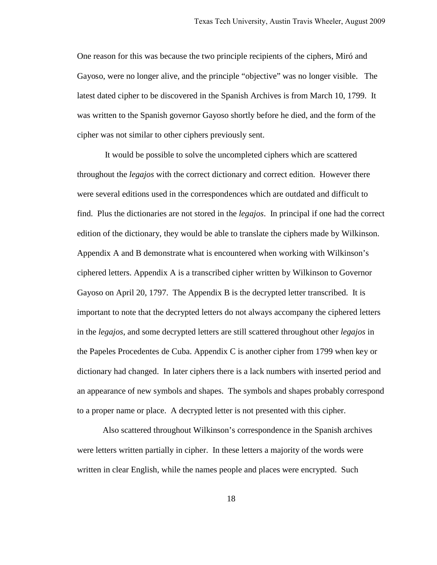One reason for this was because the two principle recipients of the ciphers, Miró and Gayoso, were no longer alive, and the principle "objective" was no longer visible. The latest dated cipher to be discovered in the Spanish Archives is from March 10, 1799. It was written to the Spanish governor Gayoso shortly before he died, and the form of the cipher was not similar to other ciphers previously sent.

It would be possible to solve the uncompleted ciphers which are scattered throughout the *legajos* with the correct dictionary and correct edition. However there were several editions used in the correspondences which are outdated and difficult to find. Plus the dictionaries are not stored in the *legajos*. In principal if one had the correct edition of the dictionary, they would be able to translate the ciphers made by Wilkinson. Appendix A and B demonstrate what is encountered when working with Wilkinson's ciphered letters. Appendix A is a transcribed cipher written by Wilkinson to Governor Gayoso on April 20, 1797. The Appendix B is the decrypted letter transcribed. It is important to note that the decrypted letters do not always accompany the ciphered letters in the *legajos*, and some decrypted letters are still scattered throughout other *legajos* in the Papeles Procedentes de Cuba. Appendix C is another cipher from 1799 when key or dictionary had changed. In later ciphers there is a lack numbers with inserted period and an appearance of new symbols and shapes. The symbols and shapes probably correspond to a proper name or place. A decrypted letter is not presented with this cipher.

Also scattered throughout Wilkinson's correspondence in the Spanish archives were letters written partially in cipher. In these letters a majority of the words were written in clear English, while the names people and places were encrypted. Such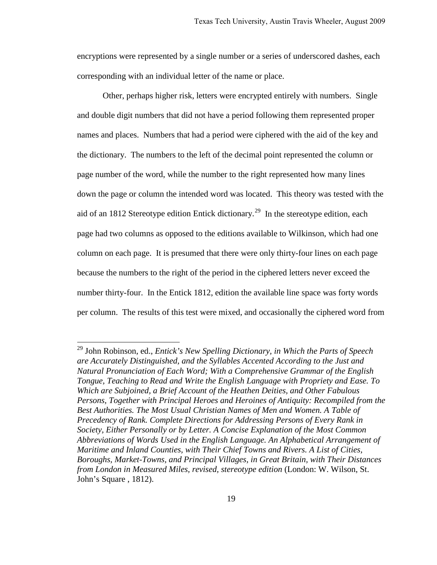encryptions were represented by a single number or a series of underscored dashes, each corresponding with an individual letter of the name or place.

Other, perhaps higher risk, letters were encrypted entirely with numbers. Single and double digit numbers that did not have a period following them represented proper names and places. Numbers that had a period were ciphered with the aid of the key and the dictionary. The numbers to the left of the decimal point represented the column or page number of the word, while the number to the right represented how many lines down the page or column the intended word was located. This theory was tested with the aid of an 1812 Stereotype edition Entick dictionary.<sup>[29](#page-21-0)</sup> In the stereotype edition, each page had two columns as opposed to the editions available to Wilkinson, which had one column on each page. It is presumed that there were only thirty-four lines on each page because the numbers to the right of the period in the ciphered letters never exceed the number thirty-four. In the Entick 1812, edition the available line space was forty words per column. The results of this test were mixed, and occasionally the ciphered word from

<span id="page-21-0"></span><sup>29</sup> John Robinson, ed., *Entick's New Spelling Dictionary, in Which the Parts of Speech are Accurately Distinguished, and the Syllables Accented According to the Just and Natural Pronunciation of Each Word; With a Comprehensive Grammar of the English Tongue, Teaching to Read and Write the English Language with Propriety and Ease. To Which are Subjoined, a Brief Account of the Heathen Deities, and Other Fabulous Persons, Together with Principal Heroes and Heroines of Antiquity: Recompiled from the Best Authorities. The Most Usual Christian Names of Men and Women. A Table of Precedency of Rank. Complete Directions for Addressing Persons of Every Rank in Society, Either Personally or by Letter. A Concise Explanation of the Most Common Abbreviations of Words Used in the English Language. An Alphabetical Arrangement of Maritime and Inland Counties, with Their Chief Towns and Rivers. A List of Cities, Boroughs, Market-Towns, and Principal Villages, in Great Britain, with Their Distances from London in Measured Miles, revised, stereotype edition* (London: W. Wilson, St. John's Square , 1812).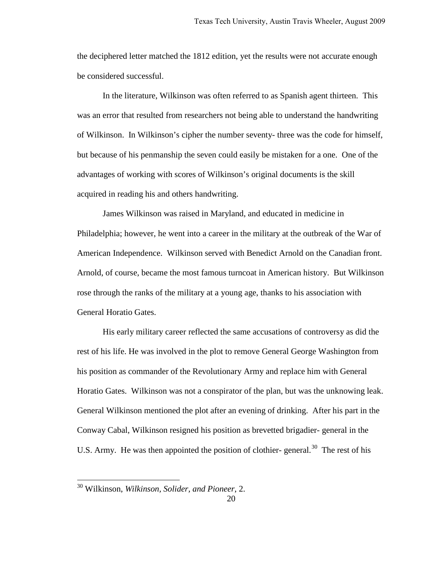the deciphered letter matched the 1812 edition, yet the results were not accurate enough be considered successful.

In the literature, Wilkinson was often referred to as Spanish agent thirteen. This was an error that resulted from researchers not being able to understand the handwriting of Wilkinson. In Wilkinson's cipher the number seventy- three was the code for himself, but because of his penmanship the seven could easily be mistaken for a one. One of the advantages of working with scores of Wilkinson's original documents is the skill acquired in reading his and others handwriting.

 James Wilkinson was raised in Maryland, and educated in medicine in Philadelphia; however, he went into a career in the military at the outbreak of the War of American Independence. Wilkinson served with Benedict Arnold on the Canadian front. Arnold, of course, became the most famous turncoat in American history. But Wilkinson rose through the ranks of the military at a young age, thanks to his association with General Horatio Gates.

His early military career reflected the same accusations of controversy as did the rest of his life. He was involved in the plot to remove General George Washington from his position as commander of the Revolutionary Army and replace him with General Horatio Gates. Wilkinson was not a conspirator of the plan, but was the unknowing leak. General Wilkinson mentioned the plot after an evening of drinking. After his part in the Conway Cabal, Wilkinson resigned his position as brevetted brigadier- general in the U.S. Army. He was then appointed the position of clothier-general.<sup>[30](#page-22-0)</sup> The rest of his

<span id="page-22-0"></span><sup>30</sup> Wilkinson, *Wilkinson, Solider, and Pioneer*, 2.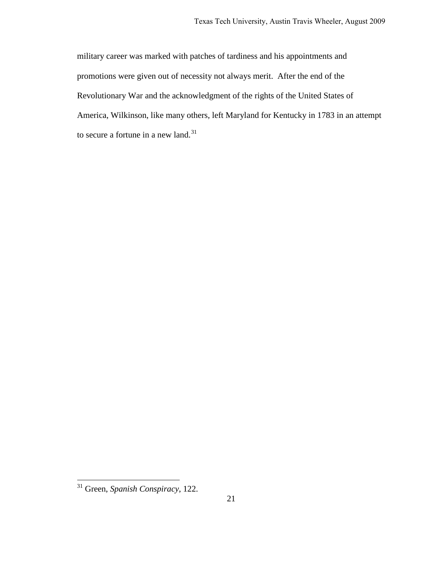military career was marked with patches of tardiness and his appointments and promotions were given out of necessity not always merit. After the end of the Revolutionary War and the acknowledgment of the rights of the United States of America, Wilkinson, like many others, left Maryland for Kentucky in 1783 in an attempt to secure a fortune in a new land.<sup>[31](#page-23-0)</sup>

<span id="page-23-0"></span><sup>31</sup> Green, *Spanish Conspiracy*, 122.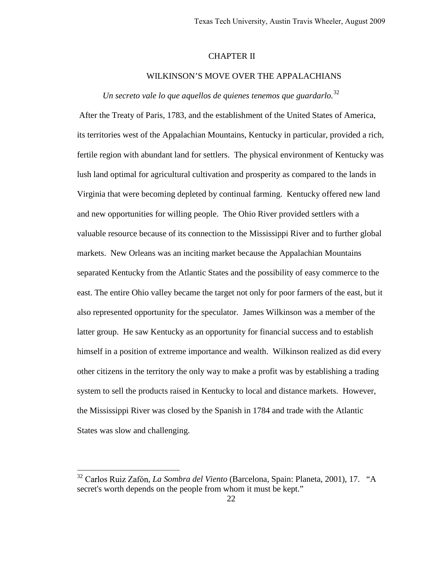#### CHAPTER II

#### WILKINSON'S MOVE OVER THE APPALACHIANS

## *Un secreto vale lo que aquellos de quienes tenemos que guardarlo.*[32](#page-24-0)

After the Treaty of Paris, 1783, and the establishment of the United States of America, its territories west of the Appalachian Mountains, Kentucky in particular, provided a rich, fertile region with abundant land for settlers. The physical environment of Kentucky was lush land optimal for agricultural cultivation and prosperity as compared to the lands in Virginia that were becoming depleted by continual farming. Kentucky offered new land and new opportunities for willing people. The Ohio River provided settlers with a valuable resource because of its connection to the Mississippi River and to further global markets. New Orleans was an inciting market because the Appalachian Mountains separated Kentucky from the Atlantic States and the possibility of easy commerce to the east. The entire Ohio valley became the target not only for poor farmers of the east, but it also represented opportunity for the speculator. James Wilkinson was a member of the latter group. He saw Kentucky as an opportunity for financial success and to establish himself in a position of extreme importance and wealth. Wilkinson realized as did every other citizens in the territory the only way to make a profit was by establishing a trading system to sell the products raised in Kentucky to local and distance markets. However, the Mississippi River was closed by the Spanish in 1784 and trade with the Atlantic States was slow and challenging.

<span id="page-24-0"></span><sup>&</sup>lt;sup>32</sup> Carlos Ruiz Zafón, *La Sombra del Viento* (Barcelona, Spain: Planeta, 2001), 17. "A secret's worth depends on the people from whom it must be kept."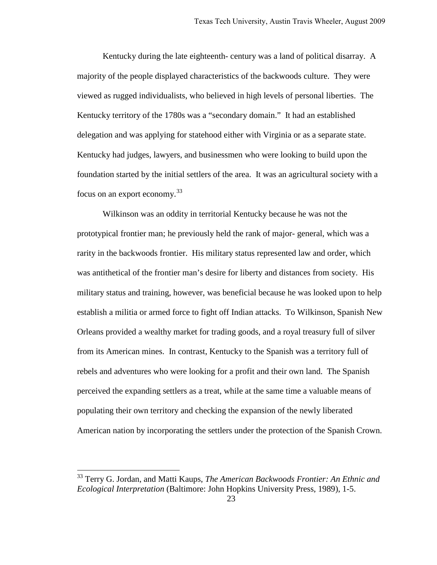Kentucky during the late eighteenth- century was a land of political disarray. A majority of the people displayed characteristics of the backwoods culture. They were viewed as rugged individualists, who believed in high levels of personal liberties. The Kentucky territory of the 1780s was a "secondary domain." It had an established delegation and was applying for statehood either with Virginia or as a separate state. Kentucky had judges, lawyers, and businessmen who were looking to build upon the foundation started by the initial settlers of the area. It was an agricultural society with a focus on an export economy.<sup>[33](#page-25-0)</sup>

Wilkinson was an oddity in territorial Kentucky because he was not the prototypical frontier man; he previously held the rank of major- general, which was a rarity in the backwoods frontier. His military status represented law and order, which was antithetical of the frontier man's desire for liberty and distances from society. His military status and training, however, was beneficial because he was looked upon to help establish a militia or armed force to fight off Indian attacks. To Wilkinson, Spanish New Orleans provided a wealthy market for trading goods, and a royal treasury full of silver from its American mines. In contrast, Kentucky to the Spanish was a territory full of rebels and adventures who were looking for a profit and their own land. The Spanish perceived the expanding settlers as a treat, while at the same time a valuable means of populating their own territory and checking the expansion of the newly liberated American nation by incorporating the settlers under the protection of the Spanish Crown.

<span id="page-25-0"></span><sup>33</sup> Terry G. Jordan, and Matti Kaups, *The American Backwoods Frontier: An Ethnic and Ecological Interpretation* (Baltimore: John Hopkins University Press, 1989), 1-5.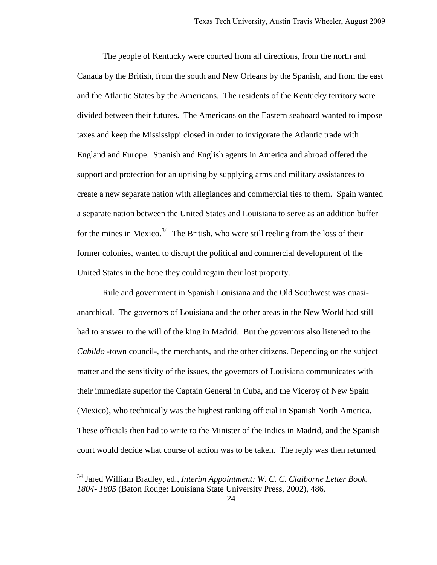The people of Kentucky were courted from all directions, from the north and Canada by the British, from the south and New Orleans by the Spanish, and from the east and the Atlantic States by the Americans. The residents of the Kentucky territory were divided between their futures. The Americans on the Eastern seaboard wanted to impose taxes and keep the Mississippi closed in order to invigorate the Atlantic trade with England and Europe. Spanish and English agents in America and abroad offered the support and protection for an uprising by supplying arms and military assistances to create a new separate nation with allegiances and commercial ties to them. Spain wanted a separate nation between the United States and Louisiana to serve as an addition buffer for the mines in Mexico.<sup>[34](#page-26-0)</sup> The British, who were still reeling from the loss of their former colonies, wanted to disrupt the political and commercial development of the United States in the hope they could regain their lost property.

Rule and government in Spanish Louisiana and the Old Southwest was quasianarchical. The governors of Louisiana and the other areas in the New World had still had to answer to the will of the king in Madrid. But the governors also listened to the *Cabildo* -town council-, the merchants, and the other citizens. Depending on the subject matter and the sensitivity of the issues, the governors of Louisiana communicates with their immediate superior the Captain General in Cuba, and the Viceroy of New Spain (Mexico), who technically was the highest ranking official in Spanish North America. These officials then had to write to the Minister of the Indies in Madrid, and the Spanish court would decide what course of action was to be taken. The reply was then returned

<span id="page-26-0"></span><sup>34</sup> Jared William Bradley, ed., *Interim Appointment: W. C. C. Claiborne Letter Book, 1804- 1805* (Baton Rouge: Louisiana State University Press, 2002), 486.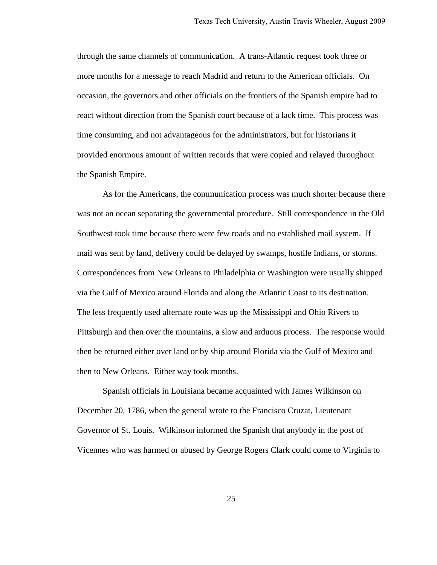through the same channels of communication. A trans-Atlantic request took three or more months for a message to reach Madrid and return to the American officials. On occasion, the governors and other officials on the frontiers of the Spanish empire had to react without direction from the Spanish court because of a lack time. This process was time consuming, and not advantageous for the administrators, but for historians it provided enormous amount of written records that were copied and relayed throughout the Spanish Empire.

As for the Americans, the communication process was much shorter because there was not an ocean separating the governmental procedure. Still correspondence in the Old Southwest took time because there were few roads and no established mail system. If mail was sent by land, delivery could be delayed by swamps, hostile Indians, or storms. Correspondences from New Orleans to Philadelphia or Washington were usually shipped via the Gulf of Mexico around Florida and along the Atlantic Coast to its destination. The less frequently used alternate route was up the Mississippi and Ohio Rivers to Pittsburgh and then over the mountains, a slow and arduous process. The response would then be returned either over land or by ship around Florida via the Gulf of Mexico and then to New Orleans. Either way took months.

Spanish officials in Louisiana became acquainted with James Wilkinson on December 20, 1786, when the general wrote to the Francisco Cruzat, Lieutenant Governor of St. Louis. Wilkinson informed the Spanish that anybody in the post of Vicennes who was harmed or abused by George Rogers Clark could come to Virginia to

25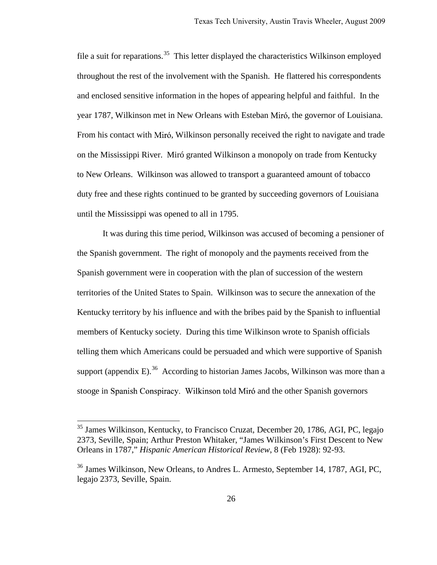file a suit for reparations.<sup>[35](#page-28-0)</sup> This letter displayed the characteristics Wilkinson employed throughout the rest of the involvement with the Spanish. He flattered his correspondents and enclosed sensitive information in the hopes of appearing helpful and faithful. In the year 1787, Wilkinson met in New Orleans with Esteban Miró, the governor of Louisiana. From his contact with Miró, Wilkinson personally received the right to navigate and trade on the Mississippi River. Miró granted Wilkinson a monopoly on trade from Kentucky to New Orleans. Wilkinson was allowed to transport a guaranteed amount of tobacco duty free and these rights continued to be granted by succeeding governors of Louisiana until the Mississippi was opened to all in 1795.

It was during this time period, Wilkinson was accused of becoming a pensioner of the Spanish government. The right of monopoly and the payments received from the Spanish government were in cooperation with the plan of succession of the western territories of the United States to Spain. Wilkinson was to secure the annexation of the Kentucky territory by his influence and with the bribes paid by the Spanish to influential members of Kentucky society. During this time Wilkinson wrote to Spanish officials telling them which Americans could be persuaded and which were supportive of Spanish support (appendix E).<sup>[36](#page-28-1)</sup> According to historian James Jacobs, Wilkinson was more than a stooge in Spanish Conspiracy. Wilkinson told Miró and the other Spanish governors

<span id="page-28-0"></span><sup>&</sup>lt;sup>35</sup> James Wilkinson, Kentucky, to Francisco Cruzat, December 20, 1786, AGI, PC, legajo 2373, Seville, Spain; Arthur Preston Whitaker, "James Wilkinson's First Descent to New Orleans in 1787," *Hispanic American Historical Review*, 8 (Feb 1928): 92-93.

<span id="page-28-1"></span><sup>&</sup>lt;sup>36</sup> James Wilkinson, New Orleans, to Andres L. Armesto, September 14, 1787, AGI, PC, legajo 2373, Seville, Spain.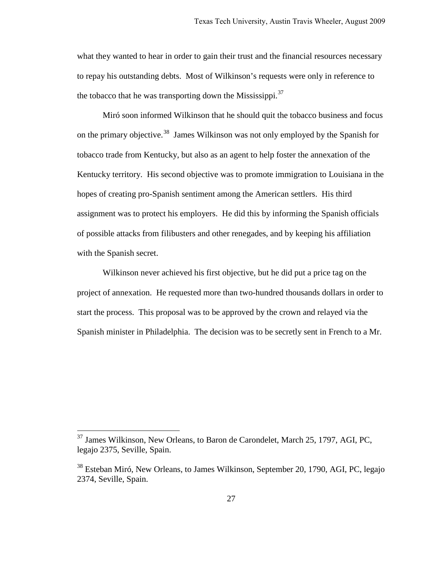what they wanted to hear in order to gain their trust and the financial resources necessary to repay his outstanding debts. Most of Wilkinson's requests were only in reference to the tobacco that he was transporting down the Mississippi.<sup>[37](#page-29-0)</sup>

Miró soon informed Wilkinson that he should quit the tobacco business and focus on the primary objective.<sup>[38](#page-29-1)</sup> James Wilkinson was not only employed by the Spanish for tobacco trade from Kentucky, but also as an agent to help foster the annexation of the Kentucky territory. His second objective was to promote immigration to Louisiana in the hopes of creating pro-Spanish sentiment among the American settlers. His third assignment was to protect his employers. He did this by informing the Spanish officials of possible attacks from filibusters and other renegades, and by keeping his affiliation with the Spanish secret.

Wilkinson never achieved his first objective, but he did put a price tag on the project of annexation. He requested more than two-hundred thousands dollars in order to start the process. This proposal was to be approved by the crown and relayed via the Spanish minister in Philadelphia. The decision was to be secretly sent in French to a Mr.

<span id="page-29-0"></span><sup>&</sup>lt;sup>37</sup> James Wilkinson, New Orleans, to Baron de Carondelet, March 25, 1797, AGI, PC, legajo 2375, Seville, Spain.

<span id="page-29-1"></span><sup>38</sup> Esteban Miró, New Orleans, to James Wilkinson, September 20, 1790, AGI, PC, legajo 2374, Seville, Spain.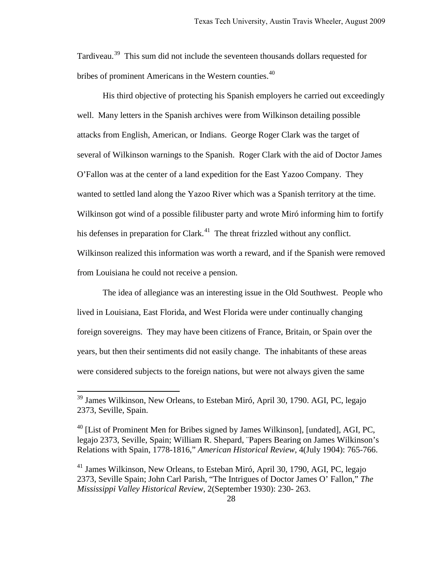Tardiveau.<sup>[39](#page-30-0)</sup> This sum did not include the seventeen thousands dollars requested for bribes of prominent Americans in the Western counties.<sup>[40](#page-30-1)</sup>

His third objective of protecting his Spanish employers he carried out exceedingly well. Many letters in the Spanish archives were from Wilkinson detailing possible attacks from English, American, or Indians. George Roger Clark was the target of several of Wilkinson warnings to the Spanish. Roger Clark with the aid of Doctor James O'Fallon was at the center of a land expedition for the East Yazoo Company. They wanted to settled land along the Yazoo River which was a Spanish territory at the time. Wilkinson got wind of a possible filibuster party and wrote Miró informing him to fortify his defenses in preparation for Clark.<sup>[41](#page-30-2)</sup> The threat frizzled without any conflict. Wilkinson realized this information was worth a reward, and if the Spanish were removed from Louisiana he could not receive a pension.

The idea of allegiance was an interesting issue in the Old Southwest. People who lived in Louisiana, East Florida, and West Florida were under continually changing foreign sovereigns. They may have been citizens of France, Britain, or Spain over the years, but then their sentiments did not easily change. The inhabitants of these areas were considered subjects to the foreign nations, but were not always given the same

<span id="page-30-0"></span><sup>&</sup>lt;sup>39</sup> James Wilkinson, New Orleans, to Esteban Miró, April 30, 1790. AGI, PC, legajo 2373, Seville, Spain.

<span id="page-30-1"></span> $40$  [List of Prominent Men for Bribes signed by James Wilkinson], [undated], AGI, PC, legajo 2373, Seville, Spain; William R. Shepard, ¨Papers Bearing on James Wilkinson's Relations with Spain, 1778-1816," *American Historical Review*, 4(July 1904): 765-766.

<span id="page-30-2"></span> $41$  James Wilkinson, New Orleans, to Esteban Miró, April 30, 1790, AGI, PC, legajo 2373, Seville Spain; John Carl Parish, "The Intrigues of Doctor James O' Fallon," *The Mississippi Valley Historical Review*, 2(September 1930): 230- 263.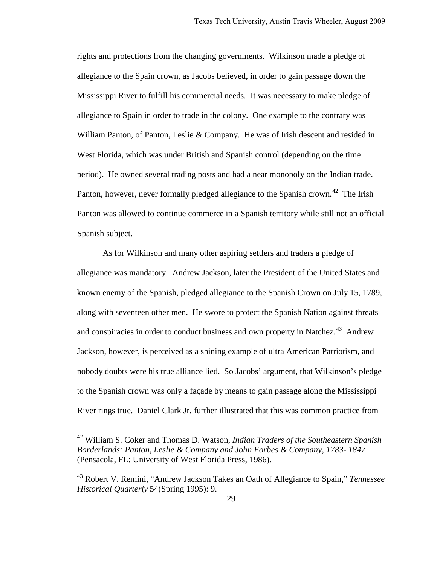rights and protections from the changing governments. Wilkinson made a pledge of allegiance to the Spain crown, as Jacobs believed, in order to gain passage down the Mississippi River to fulfill his commercial needs. It was necessary to make pledge of allegiance to Spain in order to trade in the colony. One example to the contrary was William Panton, of Panton, Leslie & Company. He was of Irish descent and resided in West Florida, which was under British and Spanish control (depending on the time period). He owned several trading posts and had a near monopoly on the Indian trade. Panton, however, never formally pledged allegiance to the Spanish crown.<sup>[42](#page-31-0)</sup> The Irish Panton was allowed to continue commerce in a Spanish territory while still not an official Spanish subject.

As for Wilkinson and many other aspiring settlers and traders a pledge of allegiance was mandatory. Andrew Jackson, later the President of the United States and known enemy of the Spanish, pledged allegiance to the Spanish Crown on July 15, 1789, along with seventeen other men. He swore to protect the Spanish Nation against threats and conspiracies in order to conduct business and own property in Natchez.<sup>[43](#page-31-1)</sup> Andrew Jackson, however, is perceived as a shining example of ultra American Patriotism, and nobody doubts were his true alliance lied. So Jacobs' argument, that Wilkinson's pledge to the Spanish crown was only a façade by means to gain passage along the Mississippi River rings true. Daniel Clark Jr. further illustrated that this was common practice from

<span id="page-31-0"></span><sup>42</sup> William S. Coker and Thomas D. Watson, *Indian Traders of the Southeastern Spanish Borderlands: Panton, Leslie & Company and John Forbes & Company, 1783- 1847* (Pensacola, FL: University of West Florida Press, 1986).

<span id="page-31-1"></span><sup>43</sup> Robert V. Remini, "Andrew Jackson Takes an Oath of Allegiance to Spain," *Tennessee Historical Quarterly* 54(Spring 1995): 9.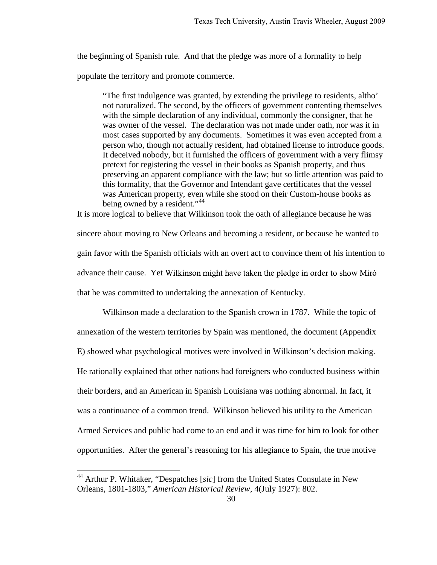the beginning of Spanish rule. And that the pledge was more of a formality to help

populate the territory and promote commerce.

"The first indulgence was granted, by extending the privilege to residents, altho' not naturalized. The second, by the officers of government contenting themselves with the simple declaration of any individual, commonly the consigner, that he was owner of the vessel. The declaration was not made under oath, nor was it in most cases supported by any documents. Sometimes it was even accepted from a person who, though not actually resident, had obtained license to introduce goods. It deceived nobody, but it furnished the officers of government with a very flimsy pretext for registering the vessel in their books as Spanish property, and thus preserving an apparent compliance with the law; but so little attention was paid to this formality, that the Governor and Intendant gave certificates that the vessel was American property, even while she stood on their Custom-house books as being owned by a resident."<sup>[44](#page-32-0)</sup>

It is more logical to believe that Wilkinson took the oath of allegiance because he was sincere about moving to New Orleans and becoming a resident, or because he wanted to gain favor with the Spanish officials with an overt act to convince them of his intention to advance their cause. Yet Wilkinson might have taken the pledge in order to show Miró that he was committed to undertaking the annexation of Kentucky.

Wilkinson made a declaration to the Spanish crown in 1787. While the topic of annexation of the western territories by Spain was mentioned, the document (Appendix E) showed what psychological motives were involved in Wilkinson's decision making. He rationally explained that other nations had foreigners who conducted business within their borders, and an American in Spanish Louisiana was nothing abnormal. In fact, it was a continuance of a common trend. Wilkinson believed his utility to the American Armed Services and public had come to an end and it was time for him to look for other opportunities. After the general's reasoning for his allegiance to Spain, the true motive

<span id="page-32-0"></span><sup>44</sup> Arthur P. Whitaker, "Despatches [*sic*] from the United States Consulate in New Orleans, 1801-1803," *American Historical Review*, 4(July 1927): 802.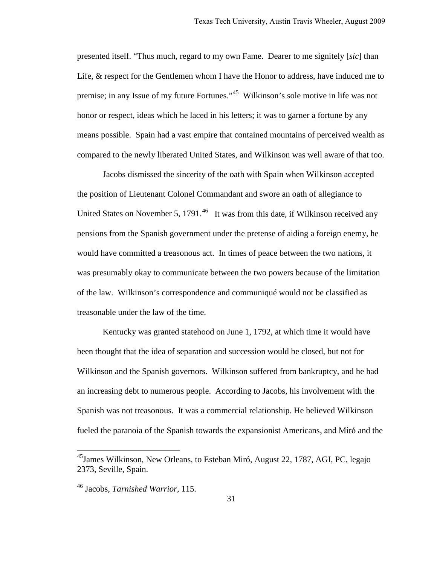presented itself. "Thus much, regard to my own Fame. Dearer to me signitely [*sic*] than Life, & respect for the Gentlemen whom I have the Honor to address, have induced me to premise; in any Issue of my future Fortunes."<sup>[45](#page-33-0)</sup> Wilkinson's sole motive in life was not honor or respect, ideas which he laced in his letters; it was to garner a fortune by any means possible. Spain had a vast empire that contained mountains of perceived wealth as compared to the newly liberated United States, and Wilkinson was well aware of that too.

Jacobs dismissed the sincerity of the oath with Spain when Wilkinson accepted the position of Lieutenant Colonel Commandant and swore an oath of allegiance to United States on November 5, 1791. $^{46}$  $^{46}$  $^{46}$  It was from this date, if Wilkinson received any pensions from the Spanish government under the pretense of aiding a foreign enemy, he would have committed a treasonous act. In times of peace between the two nations, it was presumably okay to communicate between the two powers because of the limitation of the law. Wilkinson's correspondence and communiqué would not be classified as treasonable under the law of the time.

Kentucky was granted statehood on June 1, 1792, at which time it would have been thought that the idea of separation and succession would be closed, but not for Wilkinson and the Spanish governors. Wilkinson suffered from bankruptcy, and he had an increasing debt to numerous people. According to Jacobs, his involvement with the Spanish was not treasonous. It was a commercial relationship. He believed Wilkinson fueled the paranoia of the Spanish towards the expansionist Americans, and Miró and the

<span id="page-33-0"></span> $^{45}$ James Wilkinson, New Orleans, to Esteban Miró, August 22, 1787, AGI, PC, legajo 2373, Seville, Spain.

<span id="page-33-1"></span><sup>46</sup> Jacobs, *Tarnished Warrior*, 115.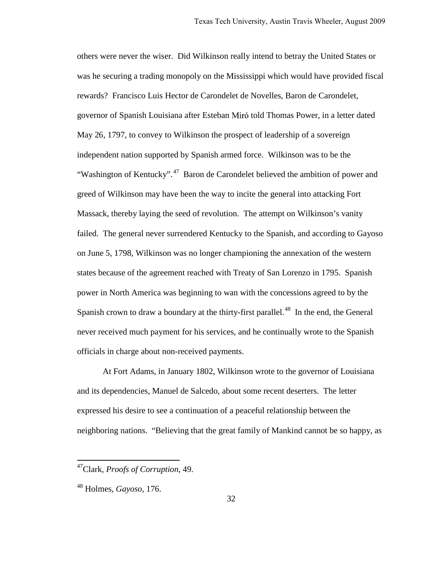others were never the wiser. Did Wilkinson really intend to betray the United States or was he securing a trading monopoly on the Mississippi which would have provided fiscal rewards? Francisco Luis Hector de Carondelet de Novelles, Baron de Carondelet, governor of Spanish Louisiana after Esteban Miró told Thomas Power, in a letter dated May 26, 1797, to convey to Wilkinson the prospect of leadership of a sovereign independent nation supported by Spanish armed force. Wilkinson was to be the "Washington of Kentucky".<sup>[47](#page-34-0)</sup> Baron de Carondelet believed the ambition of power and greed of Wilkinson may have been the way to incite the general into attacking Fort Massack, thereby laying the seed of revolution. The attempt on Wilkinson's vanity failed. The general never surrendered Kentucky to the Spanish, and according to Gayoso on June 5, 1798, Wilkinson was no longer championing the annexation of the western states because of the agreement reached with Treaty of San Lorenzo in 1795. Spanish power in North America was beginning to wan with the concessions agreed to by the Spanish crown to draw a boundary at the thirty-first parallel.<sup>[48](#page-34-1)</sup> In the end, the General never received much payment for his services, and he continually wrote to the Spanish officials in charge about non-received payments.

 At Fort Adams, in January 1802, Wilkinson wrote to the governor of Louisiana and its dependencies, Manuel de Salcedo, about some recent deserters. The letter expressed his desire to see a continuation of a peaceful relationship between the neighboring nations. "Believing that the great family of Mankind cannot be so happy, as

<span id="page-34-0"></span><sup>47</sup>Clark, *Proofs of Corruption*, 49.

<span id="page-34-1"></span><sup>48</sup> Holmes, *Gayoso*, 176.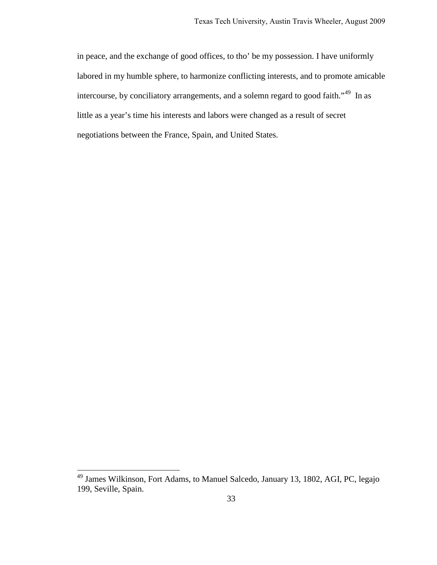in peace, and the exchange of good offices, to tho' be my possession. I have uniformly labored in my humble sphere, to harmonize conflicting interests, and to promote amicable intercourse, by conciliatory arrangements, and a solemn regard to good faith."<sup>[49](#page-35-0)</sup> In as little as a year's time his interests and labors were changed as a result of secret negotiations between the France, Spain, and United States.

<span id="page-35-0"></span><sup>&</sup>lt;sup>49</sup> James Wilkinson, Fort Adams, to Manuel Salcedo, January 13, 1802, AGI, PC, legajo 199, Seville, Spain.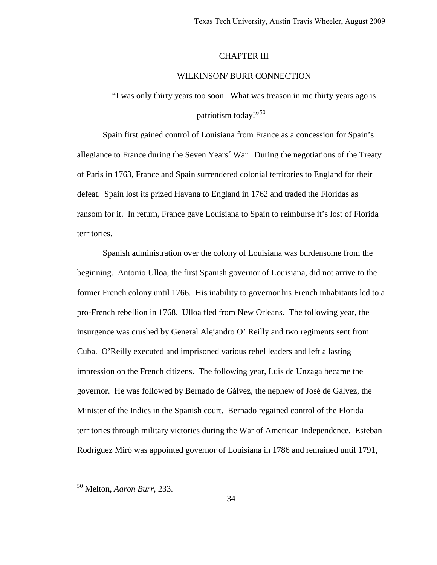### CHAPTER III

### WILKINSON/ BURR CONNECTION

"I was only thirty years too soon. What was treason in me thirty years ago is patriotism today!"<sup>[50](#page-36-0)</sup>

Spain first gained control of Louisiana from France as a concession for Spain's allegiance to France during the Seven Years´ War. During the negotiations of the Treaty of Paris in 1763, France and Spain surrendered colonial territories to England for their defeat. Spain lost its prized Havana to England in 1762 and traded the Floridas as ransom for it. In return, France gave Louisiana to Spain to reimburse it's lost of Florida territories.

Spanish administration over the colony of Louisiana was burdensome from the beginning. Antonio Ulloa, the first Spanish governor of Louisiana, did not arrive to the former French colony until 1766. His inability to governor his French inhabitants led to a pro-French rebellion in 1768. Ulloa fled from New Orleans. The following year, the insurgence was crushed by General Alejandro O' Reilly and two regiments sent from Cuba. O'Reilly executed and imprisoned various rebel leaders and left a lasting impression on the French citizens. The following year, Luis de Unzaga became the governor. He was followed by Bernado de Gálvez, the nephew of José de Gálvez, the Minister of the Indies in the Spanish court. Bernado regained control of the Florida territories through military victories during the War of American Independence. Esteban Rodríguez Miró was appointed governor of Louisiana in 1786 and remained until 1791,

<span id="page-36-0"></span><sup>50</sup> Melton, *Aaron Burr*, 233.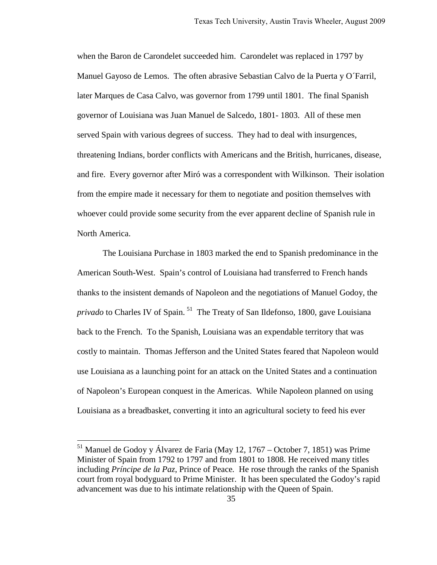when the Baron de Carondelet succeeded him. Carondelet was replaced in 1797 by Manuel Gayoso de Lemos. The often abrasive Sebastian Calvo de la Puerta y O´Farril, later Marques de Casa Calvo, was governor from 1799 until 1801. The final Spanish governor of Louisiana was Juan Manuel de Salcedo, 1801- 1803. All of these men served Spain with various degrees of success. They had to deal with insurgences, threatening Indians, border conflicts with Americans and the British, hurricanes, disease, and fire. Every governor after Miró was a correspondent with Wilkinson. Their isolation from the empire made it necessary for them to negotiate and position themselves with whoever could provide some security from the ever apparent decline of Spanish rule in North America.

The Louisiana Purchase in 1803 marked the end to Spanish predominance in the American South-West. Spain's control of Louisiana had transferred to French hands thanks to the insistent demands of Napoleon and the negotiations of Manuel Godoy, the *privado* to Charles IV of Spain.<sup>[51](#page-37-0)</sup> The Treaty of San Ildefonso, 1800, gave Louisiana back to the French. To the Spanish, Louisiana was an expendable territory that was costly to maintain. Thomas Jefferson and the United States feared that Napoleon would use Louisiana as a launching point for an attack on the United States and a continuation of Napoleon's European conquest in the Americas. While Napoleon planned on using Louisiana as a breadbasket, converting it into an agricultural society to feed his ever

<span id="page-37-0"></span> $51$  Manuel de Godoy y Álvarez de Faria (May 12, 1767 – October 7, 1851) was Prime Minister of Spain from 1792 to 1797 and from 1801 to 1808. He received many titles including *Príncipe de la Paz*, Prince of Peace*.* He rose through the ranks of the Spanish court from royal bodyguard to Prime Minister. It has been speculated the Godoy's rapid advancement was due to his intimate relationship with the Queen of Spain.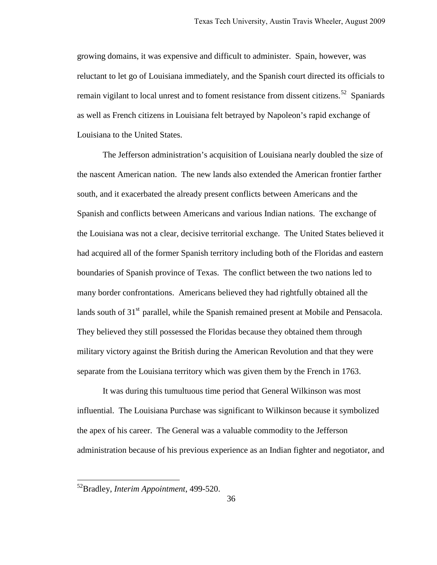growing domains, it was expensive and difficult to administer. Spain, however, was reluctant to let go of Louisiana immediately, and the Spanish court directed its officials to remain vigilant to local unrest and to foment resistance from dissent citizens.<sup>[52](#page-38-0)</sup> Spaniards as well as French citizens in Louisiana felt betrayed by Napoleon's rapid exchange of Louisiana to the United States.

The Jefferson administration's acquisition of Louisiana nearly doubled the size of the nascent American nation. The new lands also extended the American frontier farther south, and it exacerbated the already present conflicts between Americans and the Spanish and conflicts between Americans and various Indian nations. The exchange of the Louisiana was not a clear, decisive territorial exchange. The United States believed it had acquired all of the former Spanish territory including both of the Floridas and eastern boundaries of Spanish province of Texas. The conflict between the two nations led to many border confrontations. Americans believed they had rightfully obtained all the lands south of  $31<sup>st</sup>$  parallel, while the Spanish remained present at Mobile and Pensacola. They believed they still possessed the Floridas because they obtained them through military victory against the British during the American Revolution and that they were separate from the Louisiana territory which was given them by the French in 1763.

It was during this tumultuous time period that General Wilkinson was most influential. The Louisiana Purchase was significant to Wilkinson because it symbolized the apex of his career. The General was a valuable commodity to the Jefferson administration because of his previous experience as an Indian fighter and negotiator, and

<span id="page-38-0"></span><sup>52</sup>Bradley, *Interim Appointment*, 499-520.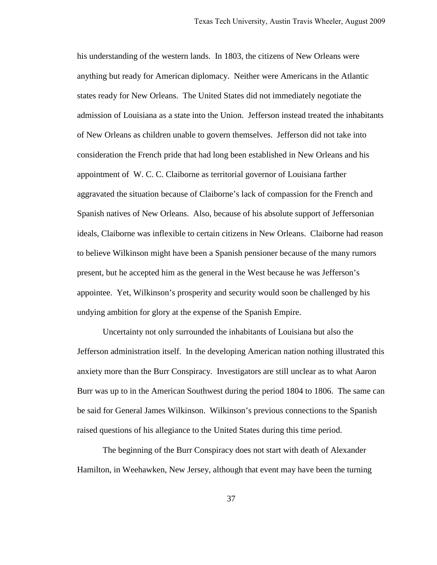his understanding of the western lands. In 1803, the citizens of New Orleans were anything but ready for American diplomacy. Neither were Americans in the Atlantic states ready for New Orleans. The United States did not immediately negotiate the admission of Louisiana as a state into the Union. Jefferson instead treated the inhabitants of New Orleans as children unable to govern themselves. Jefferson did not take into consideration the French pride that had long been established in New Orleans and his appointment of W. C. C. Claiborne as territorial governor of Louisiana farther aggravated the situation because of Claiborne's lack of compassion for the French and Spanish natives of New Orleans. Also, because of his absolute support of Jeffersonian ideals, Claiborne was inflexible to certain citizens in New Orleans. Claiborne had reason to believe Wilkinson might have been a Spanish pensioner because of the many rumors present, but he accepted him as the general in the West because he was Jefferson's appointee. Yet, Wilkinson's prosperity and security would soon be challenged by his undying ambition for glory at the expense of the Spanish Empire.

Uncertainty not only surrounded the inhabitants of Louisiana but also the Jefferson administration itself. In the developing American nation nothing illustrated this anxiety more than the Burr Conspiracy. Investigators are still unclear as to what Aaron Burr was up to in the American Southwest during the period 1804 to 1806. The same can be said for General James Wilkinson. Wilkinson's previous connections to the Spanish raised questions of his allegiance to the United States during this time period.

The beginning of the Burr Conspiracy does not start with death of Alexander Hamilton, in Weehawken, New Jersey, although that event may have been the turning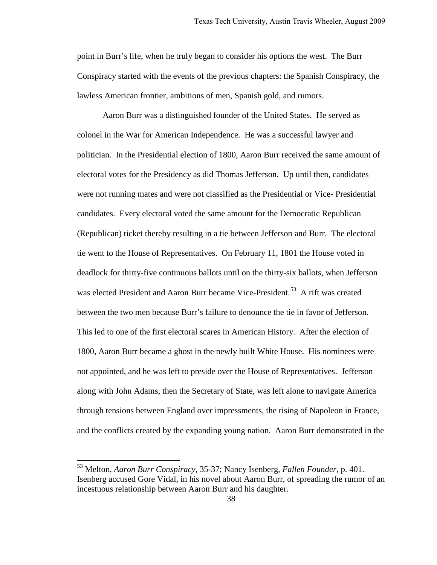point in Burr's life, when he truly began to consider his options the west. The Burr Conspiracy started with the events of the previous chapters: the Spanish Conspiracy, the lawless American frontier, ambitions of men, Spanish gold, and rumors.

Aaron Burr was a distinguished founder of the United States. He served as colonel in the War for American Independence. He was a successful lawyer and politician. In the Presidential election of 1800, Aaron Burr received the same amount of electoral votes for the Presidency as did Thomas Jefferson. Up until then, candidates were not running mates and were not classified as the Presidential or Vice- Presidential candidates. Every electoral voted the same amount for the Democratic Republican (Republican) ticket thereby resulting in a tie between Jefferson and Burr. The electoral tie went to the House of Representatives. On February 11, 1801 the House voted in deadlock for thirty-five continuous ballots until on the thirty-six ballots, when Jefferson was elected President and Aaron Burr became Vice-President.<sup>[53](#page-40-0)</sup> A rift was created between the two men because Burr's failure to denounce the tie in favor of Jefferson. This led to one of the first electoral scares in American History. After the election of 1800, Aaron Burr became a ghost in the newly built White House. His nominees were not appointed, and he was left to preside over the House of Representatives. Jefferson along with John Adams, then the Secretary of State, was left alone to navigate America through tensions between England over impressments, the rising of Napoleon in France, and the conflicts created by the expanding young nation. Aaron Burr demonstrated in the

<span id="page-40-0"></span><sup>53</sup> Melton, *Aaron Burr Conspiracy*, 35-37; Nancy Isenberg, *Fallen Founder,* p. 401. Isenberg accused Gore Vidal, in his novel about Aaron Burr, of spreading the rumor of an incestuous relationship between Aaron Burr and his daughter.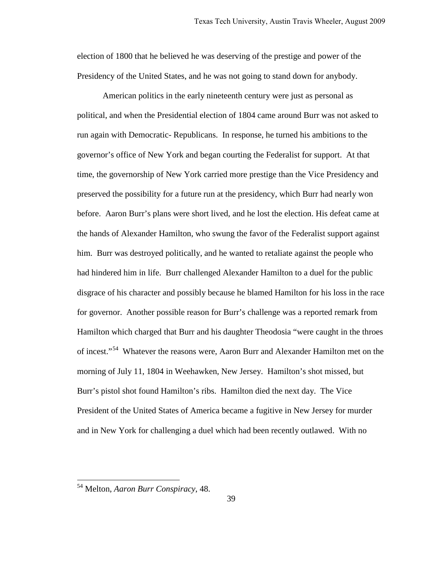election of 1800 that he believed he was deserving of the prestige and power of the Presidency of the United States, and he was not going to stand down for anybody.

American politics in the early nineteenth century were just as personal as political, and when the Presidential election of 1804 came around Burr was not asked to run again with Democratic- Republicans. In response, he turned his ambitions to the governor's office of New York and began courting the Federalist for support. At that time, the governorship of New York carried more prestige than the Vice Presidency and preserved the possibility for a future run at the presidency, which Burr had nearly won before. Aaron Burr's plans were short lived, and he lost the election. His defeat came at the hands of Alexander Hamilton, who swung the favor of the Federalist support against him. Burr was destroyed politically, and he wanted to retaliate against the people who had hindered him in life. Burr challenged Alexander Hamilton to a duel for the public disgrace of his character and possibly because he blamed Hamilton for his loss in the race for governor. Another possible reason for Burr's challenge was a reported remark from Hamilton which charged that Burr and his daughter Theodosia "were caught in the throes of incest."<sup>[54](#page-41-0)</sup> Whatever the reasons were, Aaron Burr and Alexander Hamilton met on the morning of July 11, 1804 in Weehawken, New Jersey. Hamilton's shot missed, but Burr's pistol shot found Hamilton's ribs. Hamilton died the next day. The Vice President of the United States of America became a fugitive in New Jersey for murder and in New York for challenging a duel which had been recently outlawed. With no

<span id="page-41-0"></span><sup>54</sup> Melton, *Aaron Burr Conspiracy*, 48.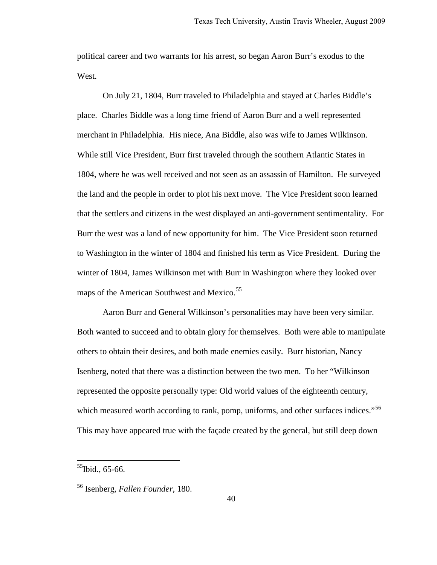political career and two warrants for his arrest, so began Aaron Burr's exodus to the West.

On July 21, 1804, Burr traveled to Philadelphia and stayed at Charles Biddle's place. Charles Biddle was a long time friend of Aaron Burr and a well represented merchant in Philadelphia. His niece, Ana Biddle, also was wife to James Wilkinson. While still Vice President, Burr first traveled through the southern Atlantic States in 1804, where he was well received and not seen as an assassin of Hamilton. He surveyed the land and the people in order to plot his next move. The Vice President soon learned that the settlers and citizens in the west displayed an anti-government sentimentality. For Burr the west was a land of new opportunity for him. The Vice President soon returned to Washington in the winter of 1804 and finished his term as Vice President. During the winter of 1804, James Wilkinson met with Burr in Washington where they looked over maps of the American Southwest and Mexico.<sup>[55](#page-42-0)</sup>

Aaron Burr and General Wilkinson's personalities may have been very similar. Both wanted to succeed and to obtain glory for themselves. Both were able to manipulate others to obtain their desires, and both made enemies easily. Burr historian, Nancy Isenberg, noted that there was a distinction between the two men. To her "Wilkinson represented the opposite personally type: Old world values of the eighteenth century, which measured worth according to rank, pomp, uniforms, and other surfaces indices."<sup>[56](#page-42-1)</sup> This may have appeared true with the façade created by the general, but still deep down

<span id="page-42-0"></span> $^{55}$ Ibid., 65-66.

<span id="page-42-1"></span><sup>56</sup> Isenberg, *Fallen Founder*, 180.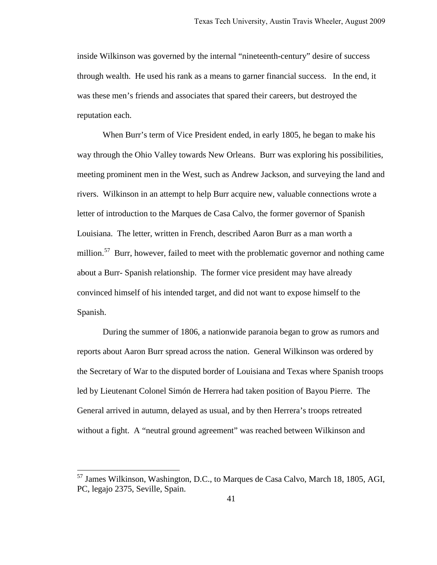inside Wilkinson was governed by the internal "nineteenth-century" desire of success through wealth. He used his rank as a means to garner financial success. In the end, it was these men's friends and associates that spared their careers, but destroyed the reputation each.

When Burr's term of Vice President ended, in early 1805, he began to make his way through the Ohio Valley towards New Orleans. Burr was exploring his possibilities, meeting prominent men in the West, such as Andrew Jackson, and surveying the land and rivers. Wilkinson in an attempt to help Burr acquire new, valuable connections wrote a letter of introduction to the Marques de Casa Calvo, the former governor of Spanish Louisiana. The letter, written in French, described Aaron Burr as a man worth a million.<sup>[57](#page-43-0)</sup> Burr, however, failed to meet with the problematic governor and nothing came about a Burr- Spanish relationship. The former vice president may have already convinced himself of his intended target, and did not want to expose himself to the Spanish.

During the summer of 1806, a nationwide paranoia began to grow as rumors and reports about Aaron Burr spread across the nation. General Wilkinson was ordered by the Secretary of War to the disputed border of Louisiana and Texas where Spanish troops led by Lieutenant Colonel Simón de Herrera had taken position of Bayou Pierre. The General arrived in autumn, delayed as usual, and by then Herrera's troops retreated without a fight. A "neutral ground agreement" was reached between Wilkinson and

<span id="page-43-0"></span><sup>&</sup>lt;sup>57</sup> James Wilkinson, Washington, D.C., to Marques de Casa Calvo, March 18, 1805, AGI, PC, legajo 2375, Seville, Spain.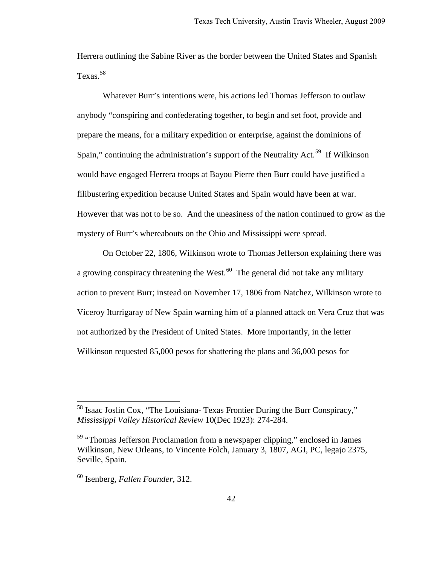Herrera outlining the Sabine River as the border between the United States and Spanish Texas.<sup>[58](#page-44-0)</sup>

Whatever Burr's intentions were, his actions led Thomas Jefferson to outlaw anybody "conspiring and confederating together, to begin and set foot, provide and prepare the means, for a military expedition or enterprise, against the dominions of Spain," continuing the administration's support of the Neutrality Act.<sup>[59](#page-44-1)</sup> If Wilkinson would have engaged Herrera troops at Bayou Pierre then Burr could have justified a filibustering expedition because United States and Spain would have been at war. However that was not to be so. And the uneasiness of the nation continued to grow as the mystery of Burr's whereabouts on the Ohio and Mississippi were spread.

On October 22, 1806, Wilkinson wrote to Thomas Jefferson explaining there was a growing conspiracy threatening the West. $^{60}$  $^{60}$  $^{60}$  The general did not take any military action to prevent Burr; instead on November 17, 1806 from Natchez, Wilkinson wrote to Viceroy Iturrigaray of New Spain warning him of a planned attack on Vera Cruz that was not authorized by the President of United States. More importantly, in the letter Wilkinson requested 85,000 pesos for shattering the plans and 36,000 pesos for

<span id="page-44-0"></span><sup>&</sup>lt;sup>58</sup> Isaac Joslin Cox, "The Louisiana- Texas Frontier During the Burr Conspiracy," *Mississippi Valley Historical Review* 10(Dec 1923): 274-284.

<span id="page-44-1"></span><sup>&</sup>lt;sup>59</sup> "Thomas Jefferson Proclamation from a newspaper clipping," enclosed in James Wilkinson, New Orleans, to Vincente Folch, January 3, 1807, AGI, PC, legajo 2375, Seville, Spain.

<span id="page-44-2"></span><sup>60</sup> Isenberg, *Fallen Founder*, 312.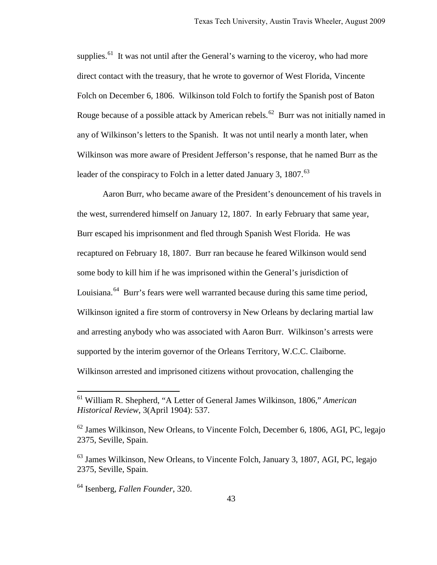supplies.<sup>[61](#page-45-0)</sup> It was not until after the General's warning to the viceroy, who had more direct contact with the treasury, that he wrote to governor of West Florida, Vincente Folch on December 6, 1806. Wilkinson told Folch to fortify the Spanish post of Baton Rouge because of a possible attack by American rebels.<sup>[62](#page-45-1)</sup> Burr was not initially named in any of Wilkinson's letters to the Spanish. It was not until nearly a month later, when Wilkinson was more aware of President Jefferson's response, that he named Burr as the leader of the conspiracy to Folch in a letter dated January 3, 1807.<sup>[63](#page-45-2)</sup>

Aaron Burr, who became aware of the President's denouncement of his travels in the west, surrendered himself on January 12, 1807. In early February that same year, Burr escaped his imprisonment and fled through Spanish West Florida. He was recaptured on February 18, 1807. Burr ran because he feared Wilkinson would send some body to kill him if he was imprisoned within the General's jurisdiction of Louisiana.<sup>[64](#page-45-3)</sup> Burr's fears were well warranted because during this same time period, Wilkinson ignited a fire storm of controversy in New Orleans by declaring martial law and arresting anybody who was associated with Aaron Burr. Wilkinson's arrests were supported by the interim governor of the Orleans Territory, W.C.C. Claiborne. Wilkinson arrested and imprisoned citizens without provocation, challenging the

<span id="page-45-0"></span><sup>61</sup> William R. Shepherd, "A Letter of General James Wilkinson, 1806," *American Historical Review*, 3(April 1904): 537.

<span id="page-45-1"></span> $62$  James Wilkinson, New Orleans, to Vincente Folch, December 6, 1806, AGI, PC, legajo 2375, Seville, Spain.

<span id="page-45-2"></span><sup>&</sup>lt;sup>63</sup> James Wilkinson, New Orleans, to Vincente Folch, January 3, 1807, AGI, PC, legajo 2375, Seville, Spain.

<span id="page-45-3"></span><sup>64</sup> Isenberg, *Fallen Founder*, 320.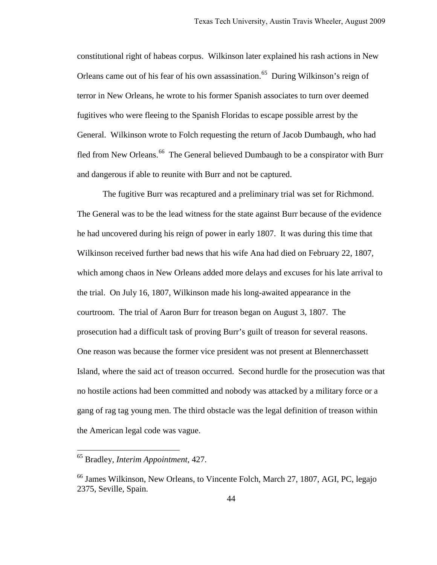constitutional right of habeas corpus. Wilkinson later explained his rash actions in New Orleans came out of his fear of his own assassination.<sup>65</sup> During Wilkinson's reign of terror in New Orleans, he wrote to his former Spanish associates to turn over deemed fugitives who were fleeing to the Spanish Floridas to escape possible arrest by the General. Wilkinson wrote to Folch requesting the return of Jacob Dumbaugh, who had fled from New Orleans.<sup>[66](#page-46-1)</sup> The General believed Dumbaugh to be a conspirator with Burr and dangerous if able to reunite with Burr and not be captured.

The fugitive Burr was recaptured and a preliminary trial was set for Richmond. The General was to be the lead witness for the state against Burr because of the evidence he had uncovered during his reign of power in early 1807. It was during this time that Wilkinson received further bad news that his wife Ana had died on February 22, 1807, which among chaos in New Orleans added more delays and excuses for his late arrival to the trial. On July 16, 1807, Wilkinson made his long-awaited appearance in the courtroom. The trial of Aaron Burr for treason began on August 3, 1807. The prosecution had a difficult task of proving Burr's guilt of treason for several reasons. One reason was because the former vice president was not present at Blennerchassett Island, where the said act of treason occurred. Second hurdle for the prosecution was that no hostile actions had been committed and nobody was attacked by a military force or a gang of rag tag young men. The third obstacle was the legal definition of treason within the American legal code was vague.

<span id="page-46-0"></span><sup>65</sup> Bradley, *Interim Appointment*, 427.

<span id="page-46-1"></span><sup>66</sup> James Wilkinson, New Orleans, to Vincente Folch, March 27, 1807, AGI, PC, legajo 2375, Seville, Spain.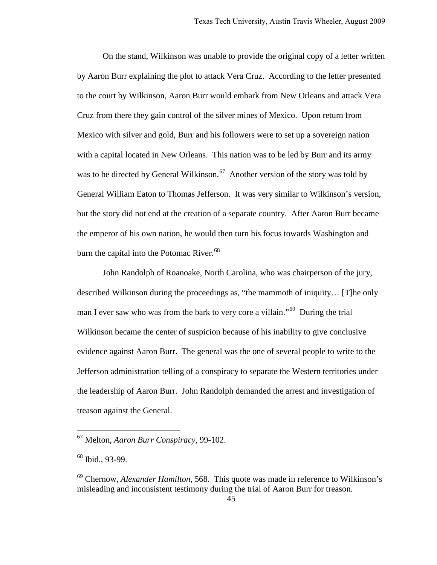On the stand, Wilkinson was unable to provide the original copy of a letter written by Aaron Burr explaining the plot to attack Vera Cruz. According to the letter presented to the court by Wilkinson, Aaron Burr would embark from New Orleans and attack Vera Cruz from there they gain control of the silver mines of Mexico. Upon return from Mexico with silver and gold, Burr and his followers were to set up a sovereign nation with a capital located in New Orleans. This nation was to be led by Burr and its army was to be directed by General Wilkinson.<sup>67</sup> Another version of the story was told by General William Eaton to Thomas Jefferson. It was very similar to Wilkinson's version, but the story did not end at the creation of a separate country. After Aaron Burr became the emperor of his own nation, he would then turn his focus towards Washington and burn the capital into the Potomac River.<sup>[68](#page-47-1)</sup>

John Randolph of Roanoake, North Carolina, who was chairperson of the jury, described Wilkinson during the proceedings as, "the mammoth of iniquity… [T]he only man I ever saw who was from the bark to very core a villain."<sup>[69](#page-47-2)</sup> During the trial Wilkinson became the center of suspicion because of his inability to give conclusive evidence against Aaron Burr. The general was the one of several people to write to the Jefferson administration telling of a conspiracy to separate the Western territories under the leadership of Aaron Burr. John Randolph demanded the arrest and investigation of treason against the General.

<span id="page-47-0"></span><sup>67</sup> Melton, *Aaron Burr Conspiracy*, 99-102.

<span id="page-47-1"></span> $68$  Ibid., 93-99.

<span id="page-47-2"></span><sup>69</sup> Chernow, *Alexander Hamilton,* 568. This quote was made in reference to Wilkinson's misleading and inconsistent testimony during the trial of Aaron Burr for treason.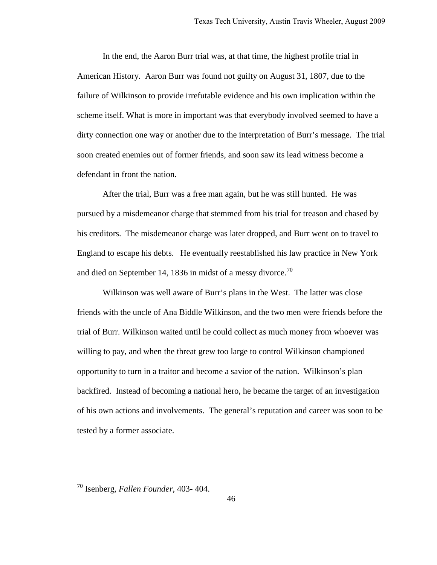In the end, the Aaron Burr trial was, at that time, the highest profile trial in American History. Aaron Burr was found not guilty on August 31, 1807, due to the failure of Wilkinson to provide irrefutable evidence and his own implication within the scheme itself. What is more in important was that everybody involved seemed to have a dirty connection one way or another due to the interpretation of Burr's message. The trial soon created enemies out of former friends, and soon saw its lead witness become a defendant in front the nation.

After the trial, Burr was a free man again, but he was still hunted. He was pursued by a misdemeanor charge that stemmed from his trial for treason and chased by his creditors. The misdemeanor charge was later dropped, and Burr went on to travel to England to escape his debts. He eventually reestablished his law practice in New York and died on September 14, 1836 in midst of a messy divorce.<sup>[70](#page-48-0)</sup>

Wilkinson was well aware of Burr's plans in the West. The latter was close friends with the uncle of Ana Biddle Wilkinson, and the two men were friends before the trial of Burr. Wilkinson waited until he could collect as much money from whoever was willing to pay, and when the threat grew too large to control Wilkinson championed opportunity to turn in a traitor and become a savior of the nation. Wilkinson's plan backfired. Instead of becoming a national hero, he became the target of an investigation of his own actions and involvements. The general's reputation and career was soon to be tested by a former associate.

<span id="page-48-0"></span><sup>70</sup> Isenberg, *Fallen Founder*, 403- 404.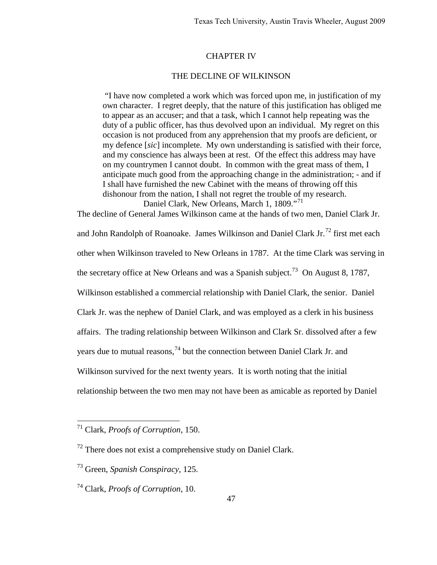### CHAPTER IV

### THE DECLINE OF WILKINSON

 "I have now completed a work which was forced upon me, in justification of my own character. I regret deeply, that the nature of this justification has obliged me to appear as an accuser; and that a task, which I cannot help repeating was the duty of a public officer, has thus devolved upon an individual. My regret on this occasion is not produced from any apprehension that my proofs are deficient, or my defence [*sic*] incomplete. My own understanding is satisfied with their force, and my conscience has always been at rest. Of the effect this address may have on my countrymen I cannot doubt. In common with the great mass of them, I anticipate much good from the approaching change in the administration; - and if I shall have furnished the new Cabinet with the means of throwing off this dishonour from the nation, I shall not regret the trouble of my research.

Daniel Clark, New Orleans, March 1, 1809."<sup>[71](#page-49-0)</sup> The decline of General James Wilkinson came at the hands of two men, Daniel Clark Jr. and John Randolph of Roanoake. James Wilkinson and Daniel Clark Jr.<sup>[72](#page-49-1)</sup> first met each other when Wilkinson traveled to New Orleans in 1787. At the time Clark was serving in the secretary office at New Orleans and was a Spanish subject.<sup>73</sup> On August 8, 1787, Wilkinson established a commercial relationship with Daniel Clark, the senior. Daniel Clark Jr. was the nephew of Daniel Clark, and was employed as a clerk in his business affairs. The trading relationship between Wilkinson and Clark Sr. dissolved after a few years due to mutual reasons,<sup>[74](#page-49-3)</sup> but the connection between Daniel Clark Jr. and Wilkinson survived for the next twenty years. It is worth noting that the initial relationship between the two men may not have been as amicable as reported by Daniel

<span id="page-49-0"></span><sup>71</sup> Clark, *Proofs of Corruption*, 150.

<span id="page-49-1"></span> $72$  There does not exist a comprehensive study on Daniel Clark.

<span id="page-49-2"></span><sup>73</sup> Green, *Spanish Conspiracy,* 125.

<span id="page-49-3"></span><sup>74</sup> Clark, *Proofs of Corruption*, 10.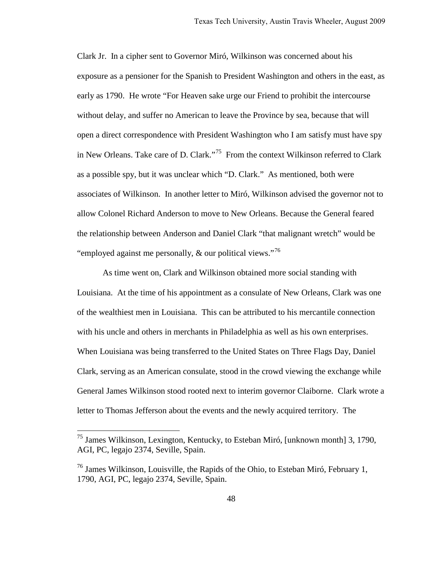Clark Jr. In a cipher sent to Governor Miró, Wilkinson was concerned about his exposure as a pensioner for the Spanish to President Washington and others in the east, as early as 1790. He wrote "For Heaven sake urge our Friend to prohibit the intercourse without delay, and suffer no American to leave the Province by sea, because that will open a direct correspondence with President Washington who I am satisfy must have spy in New Orleans. Take care of D. Clark."<sup>75</sup> From the context Wilkinson referred to Clark as a possible spy, but it was unclear which "D. Clark." As mentioned, both were associates of Wilkinson. In another letter to Miró, Wilkinson advised the governor not to allow Colonel Richard Anderson to move to New Orleans. Because the General feared the relationship between Anderson and Daniel Clark "that malignant wretch" would be "employed against me personally,  $\&$  our political views."<sup>[76](#page-50-1)</sup>

As time went on, Clark and Wilkinson obtained more social standing with Louisiana. At the time of his appointment as a consulate of New Orleans, Clark was one of the wealthiest men in Louisiana. This can be attributed to his mercantile connection with his uncle and others in merchants in Philadelphia as well as his own enterprises. When Louisiana was being transferred to the United States on Three Flags Day, Daniel Clark, serving as an American consulate, stood in the crowd viewing the exchange while General James Wilkinson stood rooted next to interim governor Claiborne. Clark wrote a letter to Thomas Jefferson about the events and the newly acquired territory. The

<span id="page-50-0"></span><sup>75</sup> James Wilkinson, Lexington, Kentucky, to Esteban Miró, [unknown month] 3, 1790, AGI, PC, legajo 2374, Seville, Spain.

<span id="page-50-1"></span> $^{76}$  James Wilkinson, Louisville, the Rapids of the Ohio, to Esteban Miró, February 1, 1790, AGI, PC, legajo 2374, Seville, Spain.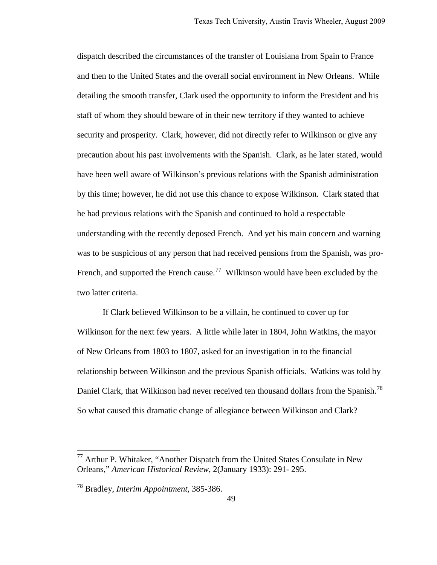dispatch described the circumstances of the transfer of Louisiana from Spain to France and then to the United States and the overall social environment in New Orleans. While detailing the smooth transfer, Clark used the opportunity to inform the President and his staff of whom they should beware of in their new territory if they wanted to achieve security and prosperity. Clark, however, did not directly refer to Wilkinson or give any precaution about his past involvements with the Spanish. Clark, as he later stated, would have been well aware of Wilkinson's previous relations with the Spanish administration by this time; however, he did not use this chance to expose Wilkinson. Clark stated that he had previous relations with the Spanish and continued to hold a respectable understanding with the recently deposed French. And yet his main concern and warning was to be suspicious of any person that had received pensions from the Spanish, was pro-French, and supported the French cause.<sup>[77](#page-51-0)</sup> Wilkinson would have been excluded by the two latter criteria.

If Clark believed Wilkinson to be a villain, he continued to cover up for Wilkinson for the next few years. A little while later in 1804, John Watkins, the mayor of New Orleans from 1803 to 1807, asked for an investigation in to the financial relationship between Wilkinson and the previous Spanish officials. Watkins was told by Daniel Clark, that Wilkinson had never received ten thousand dollars from the Spanish.<sup>[78](#page-51-1)</sup> So what caused this dramatic change of allegiance between Wilkinson and Clark?

<span id="page-51-0"></span> $77$  Arthur P. Whitaker, "Another Dispatch from the United States Consulate in New Orleans," *American Historical Review*, 2(January 1933): 291- 295.

<span id="page-51-1"></span><sup>78</sup> Bradley, *Interim Appointment*, 385-386.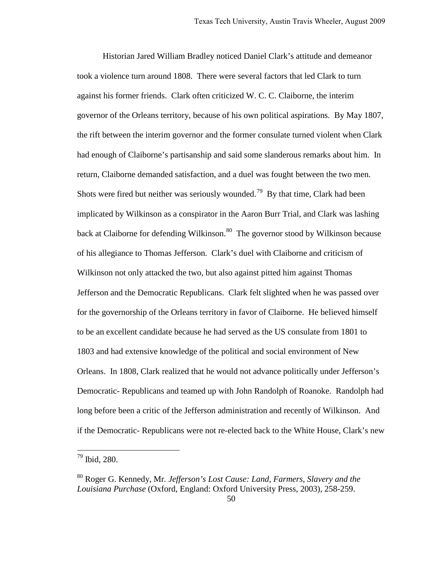Historian Jared William Bradley noticed Daniel Clark's attitude and demeanor took a violence turn around 1808. There were several factors that led Clark to turn against his former friends. Clark often criticized W. C. C. Claiborne, the interim governor of the Orleans territory, because of his own political aspirations. By May 1807, the rift between the interim governor and the former consulate turned violent when Clark had enough of Claiborne's partisanship and said some slanderous remarks about him. In return, Claiborne demanded satisfaction, and a duel was fought between the two men. Shots were fired but neither was seriously wounded.<sup>[79](#page-52-0)</sup> By that time, Clark had been implicated by Wilkinson as a conspirator in the Aaron Burr Trial, and Clark was lashing back at Claiborne for defending Wilkinson.<sup>[80](#page-52-1)</sup> The governor stood by Wilkinson because of his allegiance to Thomas Jefferson. Clark's duel with Claiborne and criticism of Wilkinson not only attacked the two, but also against pitted him against Thomas Jefferson and the Democratic Republicans. Clark felt slighted when he was passed over for the governorship of the Orleans territory in favor of Claiborne. He believed himself to be an excellent candidate because he had served as the US consulate from 1801 to 1803 and had extensive knowledge of the political and social environment of New Orleans. In 1808, Clark realized that he would not advance politically under Jefferson's Democratic- Republicans and teamed up with John Randolph of Roanoke. Randolph had long before been a critic of the Jefferson administration and recently of Wilkinson. And if the Democratic- Republicans were not re-elected back to the White House, Clark's new

<span id="page-52-0"></span> $^{79}$  Ibid, 280.

<span id="page-52-1"></span><sup>80</sup> Roger G. Kennedy, Mr*. Jefferson's Lost Cause: Land, Farmers, Slavery and the Louisiana Purchase* (Oxford, England: Oxford University Press, 2003)*,* 258-259.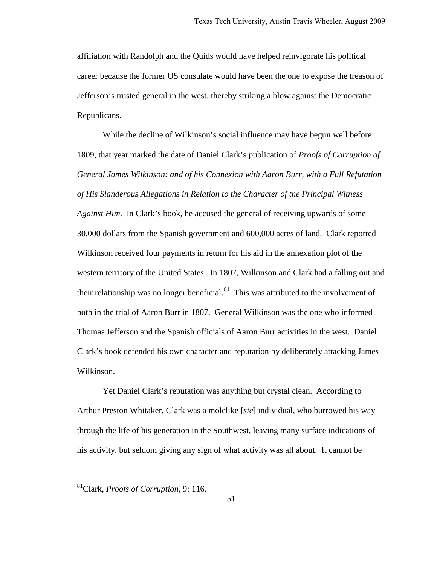affiliation with Randolph and the Quids would have helped reinvigorate his political career because the former US consulate would have been the one to expose the treason of Jefferson's trusted general in the west, thereby striking a blow against the Democratic Republicans.

While the decline of Wilkinson's social influence may have begun well before 1809, that year marked the date of Daniel Clark's publication of *Proofs of Corruption of General James Wilkinson: and of his Connexion with Aaron Burr, with a Full Refutation of His Slanderous Allegations in Relation to the Character of the Principal Witness Against Him*. In Clark's book, he accused the general of receiving upwards of some 30,000 dollars from the Spanish government and 600,000 acres of land. Clark reported Wilkinson received four payments in return for his aid in the annexation plot of the western territory of the United States. In 1807, Wilkinson and Clark had a falling out and their relationship was no longer beneficial. $81$  This was attributed to the involvement of both in the trial of Aaron Burr in 1807. General Wilkinson was the one who informed Thomas Jefferson and the Spanish officials of Aaron Burr activities in the west. Daniel Clark's book defended his own character and reputation by deliberately attacking James Wilkinson.

Yet Daniel Clark's reputation was anything but crystal clean. According to Arthur Preston Whitaker, Clark was a molelike [*sic*] individual, who burrowed his way through the life of his generation in the Southwest, leaving many surface indications of his activity, but seldom giving any sign of what activity was all about. It cannot be

<span id="page-53-0"></span><sup>81</sup>Clark, *Proofs of Corruption*, 9: 116.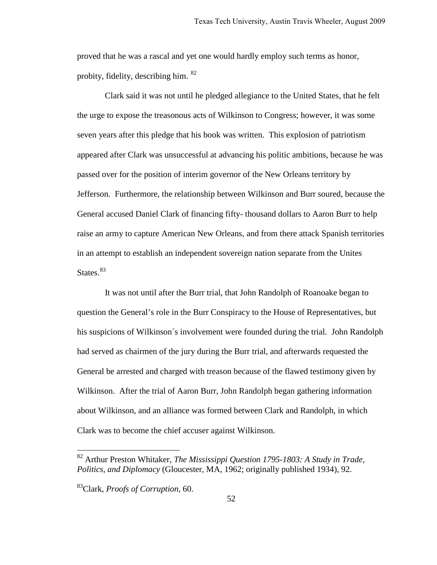proved that he was a rascal and yet one would hardly employ such terms as honor, probity, fidelity, describing him. <sup>[82](#page-54-0)</sup>

 Clark said it was not until he pledged allegiance to the United States, that he felt the urge to expose the treasonous acts of Wilkinson to Congress; however, it was some seven years after this pledge that his book was written. This explosion of patriotism appeared after Clark was unsuccessful at advancing his politic ambitions, because he was passed over for the position of interim governor of the New Orleans territory by Jefferson. Furthermore, the relationship between Wilkinson and Burr soured, because the General accused Daniel Clark of financing fifty- thousand dollars to Aaron Burr to help raise an army to capture American New Orleans, and from there attack Spanish territories in an attempt to establish an independent sovereign nation separate from the Unites States. $83$ 

 It was not until after the Burr trial, that John Randolph of Roanoake began to question the General's role in the Burr Conspiracy to the House of Representatives, but his suspicions of Wilkinson´s involvement were founded during the trial. John Randolph had served as chairmen of the jury during the Burr trial, and afterwards requested the General be arrested and charged with treason because of the flawed testimony given by Wilkinson. After the trial of Aaron Burr, John Randolph began gathering information about Wilkinson, and an alliance was formed between Clark and Randolph, in which Clark was to become the chief accuser against Wilkinson.

<span id="page-54-0"></span><sup>82</sup> Arthur Preston Whitaker, *The Mississippi Question 1795-1803: A Study in Trade, Politics, and Diplomacy* (Gloucester, MA, 1962; originally published 1934), 92.

<span id="page-54-1"></span><sup>83</sup>Clark, *Proofs of Corruption*, 60.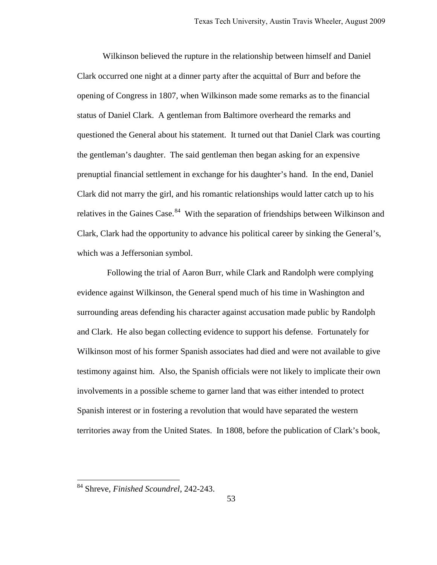Wilkinson believed the rupture in the relationship between himself and Daniel Clark occurred one night at a dinner party after the acquittal of Burr and before the opening of Congress in 1807, when Wilkinson made some remarks as to the financial status of Daniel Clark. A gentleman from Baltimore overheard the remarks and questioned the General about his statement. It turned out that Daniel Clark was courting the gentleman's daughter. The said gentleman then began asking for an expensive prenuptial financial settlement in exchange for his daughter's hand. In the end, Daniel Clark did not marry the girl, and his romantic relationships would latter catch up to his relatives in the Gaines Case.<sup>[84](#page-55-0)</sup> With the separation of friendships between Wilkinson and Clark, Clark had the opportunity to advance his political career by sinking the General's, which was a Jeffersonian symbol.

 Following the trial of Aaron Burr, while Clark and Randolph were complying evidence against Wilkinson, the General spend much of his time in Washington and surrounding areas defending his character against accusation made public by Randolph and Clark. He also began collecting evidence to support his defense. Fortunately for Wilkinson most of his former Spanish associates had died and were not available to give testimony against him. Also, the Spanish officials were not likely to implicate their own involvements in a possible scheme to garner land that was either intended to protect Spanish interest or in fostering a revolution that would have separated the western territories away from the United States. In 1808, before the publication of Clark's book,

<span id="page-55-0"></span><sup>84</sup> Shreve, *Finished Scoundrel*, 242-243.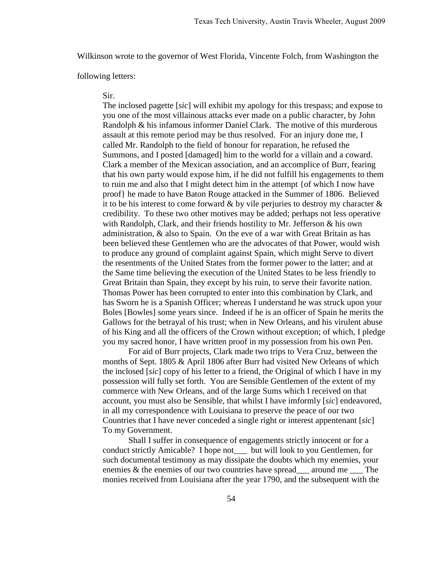Wilkinson wrote to the governor of West Florida, Vincente Folch, from Washington the

following letters:

#### Sir.

The inclosed pagette [*sic*] will exhibit my apology for this trespass; and expose to you one of the most villainous attacks ever made on a public character, by John Randolph & his infamous informer Daniel Clark. The motive of this murderous assault at this remote period may be thus resolved. For an injury done me, I called Mr. Randolph to the field of honour for reparation, he refused the Summons, and I posted [damaged] him to the world for a villain and a coward. Clark a member of the Mexican association, and an accomplice of Burr, fearing that his own party would expose him, if he did not fulfill his engagements to them to ruin me and also that I might detect him in the attempt {of which I now have proof} he made to have Baton Rouge attacked in the Summer of 1806. Believed it to be his interest to come forward  $\&$  by vile perjuries to destroy my character  $\&$ credibility. To these two other motives may be added; perhaps not less operative with Randolph, Clark, and their friends hostility to Mr. Jefferson & his own administration, & also to Spain. On the eve of a war with Great Britain as has been believed these Gentlemen who are the advocates of that Power, would wish to produce any ground of complaint against Spain, which might Serve to divert the resentments of the United States from the former power to the latter; and at the Same time believing the execution of the United States to be less friendly to Great Britain than Spain, they except by his ruin, to serve their favorite nation. Thomas Power has been corrupted to enter into this combination by Clark, and has Sworn he is a Spanish Officer; whereas I understand he was struck upon your Boles [Bowles] some years since. Indeed if he is an officer of Spain he merits the Gallows for the betrayal of his trust; when in New Orleans, and his virulent abuse of his King and all the officers of the Crown without exception; of which, I pledge you my sacred honor, I have written proof in my possession from his own Pen.

 For aid of Burr projects, Clark made two trips to Vera Cruz, between the months of Sept. 1805 & April 1806 after Burr had visited New Orleans of which the inclosed [*sic*] copy of his letter to a friend, the Original of which I have in my possession will fully set forth. You are Sensible Gentlemen of the extent of my commerce with New Orleans, and of the large Sums which I received on that account, you must also be Sensible, that whilst I have imformly [*sic*] endeavored, in all my correspondence with Louisiana to preserve the peace of our two Countries that I have never conceded a single right or interest appentenant [*sic*] To my Government.

Shall I suffer in consequence of engagements strictly innocent or for a conduct strictly Amicable? I hope not\_\_\_ but will look to you Gentlemen, for such documental testimony as may dissipate the doubts which my enemies, your enemies & the enemies of our two countries have spread\_\_\_ around me \_\_\_ The monies received from Louisiana after the year 1790, and the subsequent with the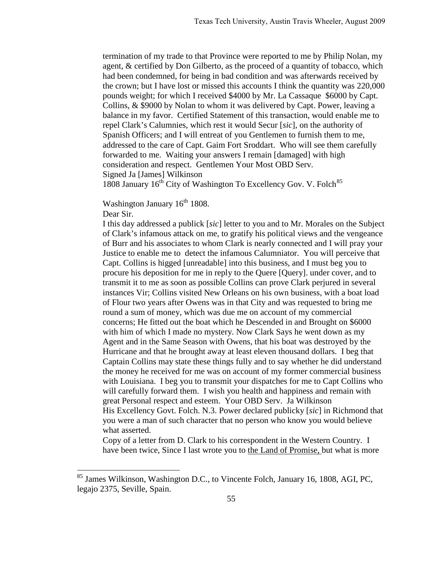termination of my trade to that Province were reported to me by Philip Nolan, my agent, & certified by Don Gilberto, as the proceed of a quantity of tobacco, which had been condemned, for being in bad condition and was afterwards received by the crown; but I have lost or missed this accounts I think the quantity was 220,000 pounds weight; for which I received \$4000 by Mr. La Cassaque \$6000 by Capt. Collins, & \$9000 by Nolan to whom it was delivered by Capt. Power, leaving a balance in my favor. Certified Statement of this transaction, would enable me to repel Clark's Calumnies, which rest it would Secur [*sic*], on the authority of Spanish Officers; and I will entreat of you Gentlemen to furnish them to me, addressed to the care of Capt. Gaim Fort Sroddart. Who will see them carefully forwarded to me. Waiting your answers I remain [damaged] with high consideration and respect. Gentlemen Your Most OBD Serv. Signed Ja [James] Wilkinson

1808 January  $16^{th}$  City of Washington To Excellency Gov. V. Folch<sup>[85](#page-57-0)</sup>

Washington January 16<sup>th</sup> 1808.

Dear Sir.

 $\overline{a}$ 

I this day addressed a publick [*sic*] letter to you and to Mr. Morales on the Subject of Clark's infamous attack on me, to gratify his political views and the vengeance of Burr and his associates to whom Clark is nearly connected and I will pray your Justice to enable me to detect the infamous Calumniator. You will perceive that Capt. Collins is higged [unreadable] into this business, and I must beg you to procure his deposition for me in reply to the Quere [Query]. under cover, and to transmit it to me as soon as possible Collins can prove Clark perjured in several instances Vir; Collins visited New Orleans on his own business, with a boat load of Flour two years after Owens was in that City and was requested to bring me round a sum of money, which was due me on account of my commercial concerns; He fitted out the boat which he Descended in and Brought on \$6000 with him of which I made no mystery. Now Clark Says he went down as my Agent and in the Same Season with Owens, that his boat was destroyed by the Hurricane and that he brought away at least eleven thousand dollars. I beg that Captain Collins may state these things fully and to say whether he did understand the money he received for me was on account of my former commercial business with Louisiana. I beg you to transmit your dispatches for me to Capt Collins who will carefully forward them. I wish you health and happiness and remain with great Personal respect and esteem. Your OBD Serv. Ja Wilkinson His Excellency Govt. Folch. N.3. Power declared publicky [*sic*] in Richmond that you were a man of such character that no person who know you would believe what asserted.

Copy of a letter from D. Clark to his correspondent in the Western Country. I have been twice, Since I last wrote you to the Land of Promise, but what is more

<span id="page-57-0"></span><sup>&</sup>lt;sup>85</sup> James Wilkinson, Washington D.C., to Vincente Folch, January 16, 1808, AGI, PC, legajo 2375, Seville, Spain.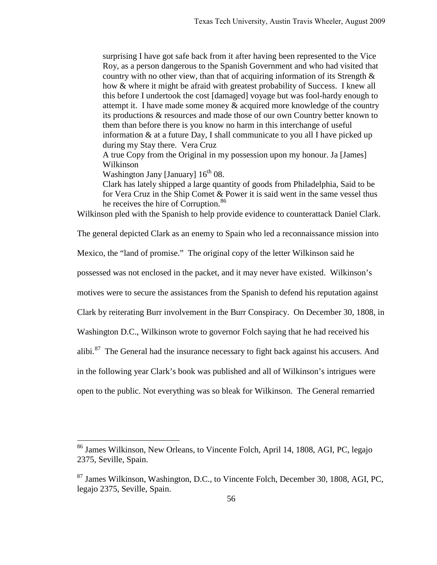surprising I have got safe back from it after having been represented to the Vice Roy, as a person dangerous to the Spanish Government and who had visited that country with no other view, than that of acquiring information of its Strength  $\&$ how & where it might be afraid with greatest probability of Success. I knew all this before I undertook the cost [damaged] voyage but was fool-hardy enough to attempt it. I have made some money  $\&$  acquired more knowledge of the country its productions & resources and made those of our own Country better known to them than before there is you know no harm in this interchange of useful information & at a future Day, I shall communicate to you all I have picked up during my Stay there. Vera Cruz

A true Copy from the Original in my possession upon my honour. Ja [James] Wilkinson

Washington Jany [January]  $16<sup>th</sup> 08$ .

 $\overline{a}$ 

Clark has lately shipped a large quantity of goods from Philadelphia, Said to be for Vera Cruz in the Ship Comet & Power it is said went in the same vessel thus he receives the hire of Corruption.<sup>[86](#page-58-0)</sup>

Wilkinson pled with the Spanish to help provide evidence to counterattack Daniel Clark.

The general depicted Clark as an enemy to Spain who led a reconnaissance mission into

Mexico, the "land of promise." The original copy of the letter Wilkinson said he

possessed was not enclosed in the packet, and it may never have existed. Wilkinson's

motives were to secure the assistances from the Spanish to defend his reputation against

Clark by reiterating Burr involvement in the Burr Conspiracy. On December 30, 1808, in

Washington D.C., Wilkinson wrote to governor Folch saying that he had received his

alibi.<sup>[87](#page-58-1)</sup> The General had the insurance necessary to fight back against his accusers. And

in the following year Clark's book was published and all of Wilkinson's intrigues were

open to the public. Not everything was so bleak for Wilkinson. The General remarried

<span id="page-58-0"></span><sup>&</sup>lt;sup>86</sup> James Wilkinson, New Orleans, to Vincente Folch, April 14, 1808, AGI, PC, legajo 2375, Seville, Spain.

<span id="page-58-1"></span><sup>87</sup> James Wilkinson, Washington, D.C., to Vincente Folch, December 30, 1808, AGI, PC, legajo 2375, Seville, Spain.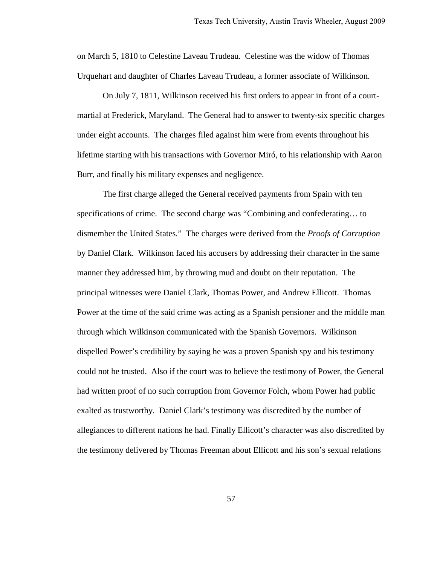on March 5, 1810 to Celestine Laveau Trudeau. Celestine was the widow of Thomas Urquehart and daughter of Charles Laveau Trudeau, a former associate of Wilkinson.

On July 7, 1811, Wilkinson received his first orders to appear in front of a courtmartial at Frederick, Maryland. The General had to answer to twenty-six specific charges under eight accounts. The charges filed against him were from events throughout his lifetime starting with his transactions with Governor Miró, to his relationship with Aaron Burr, and finally his military expenses and negligence.

The first charge alleged the General received payments from Spain with ten specifications of crime. The second charge was "Combining and confederating… to dismember the United States." The charges were derived from the *Proofs of Corruption* by Daniel Clark. Wilkinson faced his accusers by addressing their character in the same manner they addressed him, by throwing mud and doubt on their reputation. The principal witnesses were Daniel Clark, Thomas Power, and Andrew Ellicott. Thomas Power at the time of the said crime was acting as a Spanish pensioner and the middle man through which Wilkinson communicated with the Spanish Governors. Wilkinson dispelled Power's credibility by saying he was a proven Spanish spy and his testimony could not be trusted. Also if the court was to believe the testimony of Power, the General had written proof of no such corruption from Governor Folch, whom Power had public exalted as trustworthy. Daniel Clark's testimony was discredited by the number of allegiances to different nations he had. Finally Ellicott's character was also discredited by the testimony delivered by Thomas Freeman about Ellicott and his son's sexual relations

57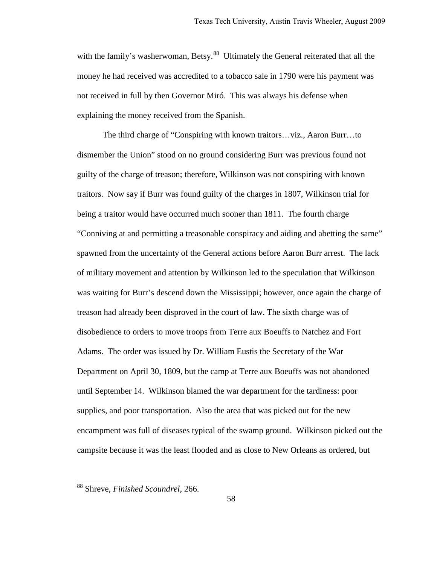with the family's washerwoman, Betsy.<sup>[88](#page-60-0)</sup> Ultimately the General reiterated that all the money he had received was accredited to a tobacco sale in 1790 were his payment was not received in full by then Governor Miró. This was always his defense when explaining the money received from the Spanish.

 The third charge of "Conspiring with known traitors…viz., Aaron Burr…to dismember the Union" stood on no ground considering Burr was previous found not guilty of the charge of treason; therefore, Wilkinson was not conspiring with known traitors. Now say if Burr was found guilty of the charges in 1807, Wilkinson trial for being a traitor would have occurred much sooner than 1811. The fourth charge "Conniving at and permitting a treasonable conspiracy and aiding and abetting the same" spawned from the uncertainty of the General actions before Aaron Burr arrest. The lack of military movement and attention by Wilkinson led to the speculation that Wilkinson was waiting for Burr's descend down the Mississippi; however, once again the charge of treason had already been disproved in the court of law. The sixth charge was of disobedience to orders to move troops from Terre aux Boeuffs to Natchez and Fort Adams. The order was issued by Dr. William Eustis the Secretary of the War Department on April 30, 1809, but the camp at Terre aux Boeuffs was not abandoned until September 14. Wilkinson blamed the war department for the tardiness: poor supplies, and poor transportation. Also the area that was picked out for the new encampment was full of diseases typical of the swamp ground. Wilkinson picked out the campsite because it was the least flooded and as close to New Orleans as ordered, but

<span id="page-60-0"></span><sup>88</sup> Shreve, *Finished Scoundrel*, 266.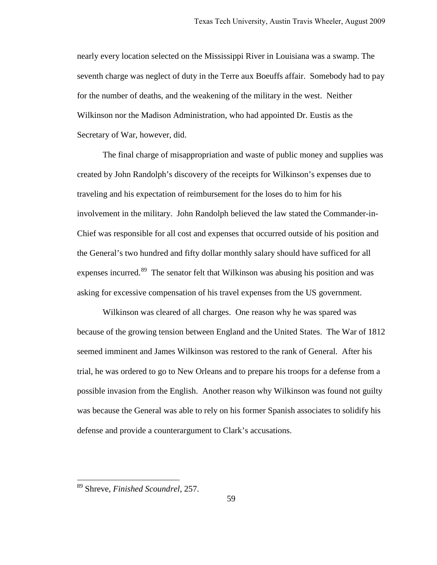nearly every location selected on the Mississippi River in Louisiana was a swamp. The seventh charge was neglect of duty in the Terre aux Boeuffs affair. Somebody had to pay for the number of deaths, and the weakening of the military in the west. Neither Wilkinson nor the Madison Administration, who had appointed Dr. Eustis as the Secretary of War, however, did.

The final charge of misappropriation and waste of public money and supplies was created by John Randolph's discovery of the receipts for Wilkinson's expenses due to traveling and his expectation of reimbursement for the loses do to him for his involvement in the military. John Randolph believed the law stated the Commander-in-Chief was responsible for all cost and expenses that occurred outside of his position and the General's two hundred and fifty dollar monthly salary should have sufficed for all expenses incurred.<sup>[89](#page-61-0)</sup> The senator felt that Wilkinson was abusing his position and was asking for excessive compensation of his travel expenses from the US government.

 Wilkinson was cleared of all charges. One reason why he was spared was because of the growing tension between England and the United States. The War of 1812 seemed imminent and James Wilkinson was restored to the rank of General. After his trial, he was ordered to go to New Orleans and to prepare his troops for a defense from a possible invasion from the English. Another reason why Wilkinson was found not guilty was because the General was able to rely on his former Spanish associates to solidify his defense and provide a counterargument to Clark's accusations.

<span id="page-61-0"></span><sup>89</sup> Shreve, *Finished Scoundrel*, 257.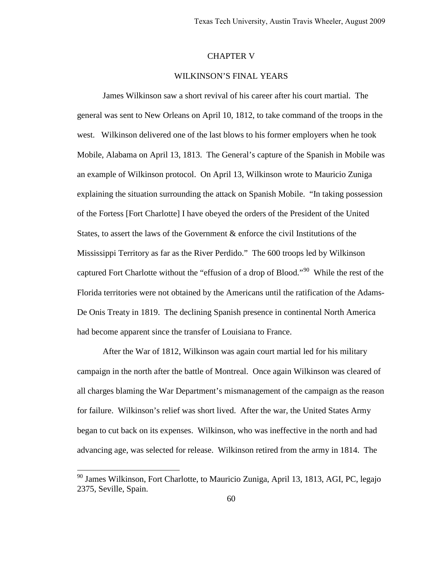## CHAPTER V

# WILKINSON'S FINAL YEARS

 James Wilkinson saw a short revival of his career after his court martial. The general was sent to New Orleans on April 10, 1812, to take command of the troops in the west. Wilkinson delivered one of the last blows to his former employers when he took Mobile, Alabama on April 13, 1813. The General's capture of the Spanish in Mobile was an example of Wilkinson protocol. On April 13, Wilkinson wrote to Mauricio Zuniga explaining the situation surrounding the attack on Spanish Mobile. "In taking possession of the Fortess [Fort Charlotte] I have obeyed the orders of the President of the United States, to assert the laws of the Government & enforce the civil Institutions of the Mississippi Territory as far as the River Perdido." The 600 troops led by Wilkinson captured Fort Charlotte without the "effusion of a drop of Blood."<sup>[90](#page-62-0)</sup> While the rest of the Florida territories were not obtained by the Americans until the ratification of the Adams-De Onis Treaty in 1819. The declining Spanish presence in continental North America had become apparent since the transfer of Louisiana to France.

 After the War of 1812, Wilkinson was again court martial led for his military campaign in the north after the battle of Montreal. Once again Wilkinson was cleared of all charges blaming the War Department's mismanagement of the campaign as the reason for failure. Wilkinson's relief was short lived. After the war, the United States Army began to cut back on its expenses. Wilkinson, who was ineffective in the north and had advancing age, was selected for release. Wilkinson retired from the army in 1814. The

<span id="page-62-0"></span><sup>&</sup>lt;sup>90</sup> James Wilkinson, Fort Charlotte, to Mauricio Zuniga, April 13, 1813, AGI, PC, legajo 2375, Seville, Spain.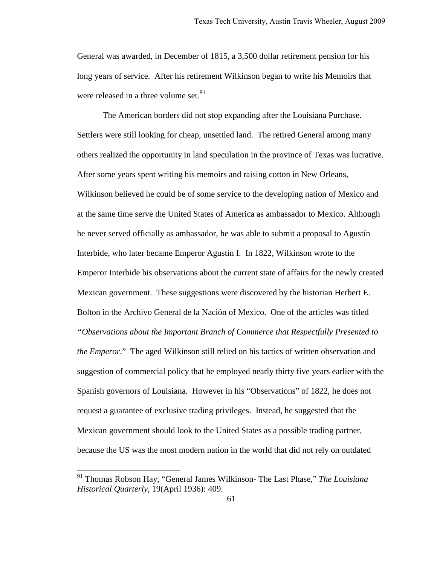General was awarded, in December of 1815, a 3,500 dollar retirement pension for his long years of service. After his retirement Wilkinson began to write his Memoirs that were released in a three volume set.  $91$ 

 The American borders did not stop expanding after the Louisiana Purchase. Settlers were still looking for cheap, unsettled land. The retired General among many others realized the opportunity in land speculation in the province of Texas was lucrative. After some years spent writing his memoirs and raising cotton in New Orleans, Wilkinson believed he could be of some service to the developing nation of Mexico and at the same time serve the United States of America as ambassador to Mexico. Although he never served officially as ambassador, he was able to submit a proposal to Agustín Interbide, who later became Emperor Agustín I. In 1822, Wilkinson wrote to the Emperor Interbide his observations about the current state of affairs for the newly created Mexican government. These suggestions were discovered by the historian Herbert E. Bolton in the Archivo General de la Nación of Mexico. One of the articles was titled *"Observations about the Important Branch of Commerce that Respectfully Presented to the Emperor*." The aged Wilkinson still relied on his tactics of written observation and suggestion of commercial policy that he employed nearly thirty five years earlier with the Spanish governors of Louisiana. However in his "Observations" of 1822, he does not request a guarantee of exclusive trading privileges. Instead, he suggested that the Mexican government should look to the United States as a possible trading partner, because the US was the most modern nation in the world that did not rely on outdated

<span id="page-63-0"></span><sup>91</sup> Thomas Robson Hay, "General James Wilkinson- The Last Phase," *The Louisiana Historical Quarterly*, 19(April 1936): 409.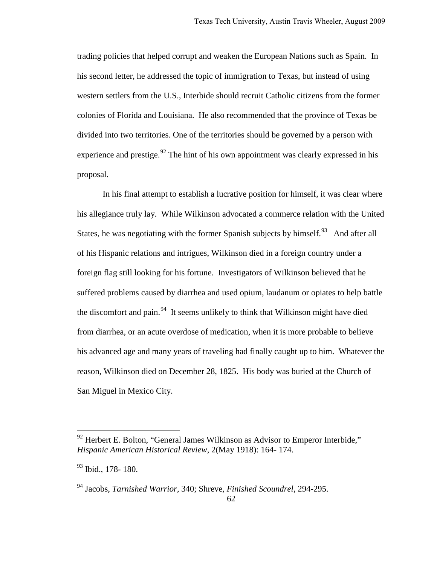trading policies that helped corrupt and weaken the European Nations such as Spain. In his second letter, he addressed the topic of immigration to Texas, but instead of using western settlers from the U.S., Interbide should recruit Catholic citizens from the former colonies of Florida and Louisiana. He also recommended that the province of Texas be divided into two territories. One of the territories should be governed by a person with experience and prestige.<sup>[92](#page-64-0)</sup> The hint of his own appointment was clearly expressed in his proposal.

In his final attempt to establish a lucrative position for himself, it was clear where his allegiance truly lay. While Wilkinson advocated a commerce relation with the United States, he was negotiating with the former Spanish subjects by himself.<sup>93</sup> And after all of his Hispanic relations and intrigues, Wilkinson died in a foreign country under a foreign flag still looking for his fortune. Investigators of Wilkinson believed that he suffered problems caused by diarrhea and used opium, laudanum or opiates to help battle the discomfort and pain.<sup>[94](#page-64-2)</sup> It seems unlikely to think that Wilkinson might have died from diarrhea, or an acute overdose of medication, when it is more probable to believe his advanced age and many years of traveling had finally caught up to him. Whatever the reason, Wilkinson died on December 28, 1825. His body was buried at the Church of San Miguel in Mexico City.

<span id="page-64-0"></span> $92$  Herbert E. Bolton, "General James Wilkinson as Advisor to Emperor Interbide," *Hispanic American Historical Review*, 2(May 1918): 164- 174.

<span id="page-64-1"></span><sup>&</sup>lt;sup>93</sup> Ibid., 178- 180.

<span id="page-64-2"></span><sup>94</sup> Jacobs, *Tarnished Warrior*, 340; Shreve, *Finished Scoundrel*, 294-295.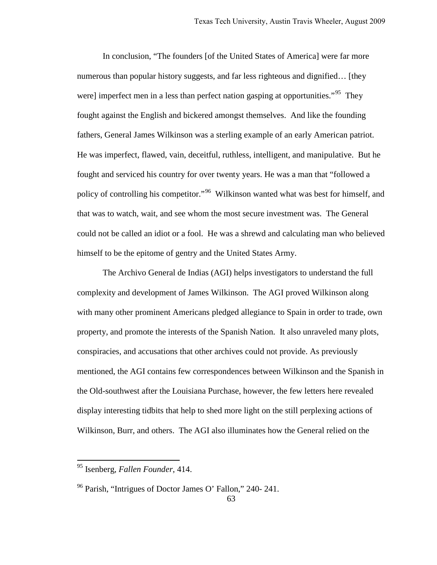In conclusion, "The founders [of the United States of America] were far more numerous than popular history suggests, and far less righteous and dignified… [they were] imperfect men in a less than perfect nation gasping at opportunities.<sup> $.95$ </sup> They fought against the English and bickered amongst themselves. And like the founding fathers, General James Wilkinson was a sterling example of an early American patriot. He was imperfect, flawed, vain, deceitful, ruthless, intelligent, and manipulative. But he fought and serviced his country for over twenty years. He was a man that "followed a policy of controlling his competitor."<sup>[96](#page-65-1)</sup> Wilkinson wanted what was best for himself, and that was to watch, wait, and see whom the most secure investment was. The General could not be called an idiot or a fool. He was a shrewd and calculating man who believed himself to be the epitome of gentry and the United States Army.

The Archivo General de Indias (AGI) helps investigators to understand the full complexity and development of James Wilkinson. The AGI proved Wilkinson along with many other prominent Americans pledged allegiance to Spain in order to trade, own property, and promote the interests of the Spanish Nation. It also unraveled many plots, conspiracies, and accusations that other archives could not provide. As previously mentioned, the AGI contains few correspondences between Wilkinson and the Spanish in the Old-southwest after the Louisiana Purchase, however, the few letters here revealed display interesting tidbits that help to shed more light on the still perplexing actions of Wilkinson, Burr, and others. The AGI also illuminates how the General relied on the

<span id="page-65-0"></span><sup>95</sup> Isenberg, *Fallen Founder*, 414.

<span id="page-65-1"></span><sup>&</sup>lt;sup>96</sup> Parish, "Intrigues of Doctor James O' Fallon," 240- 241.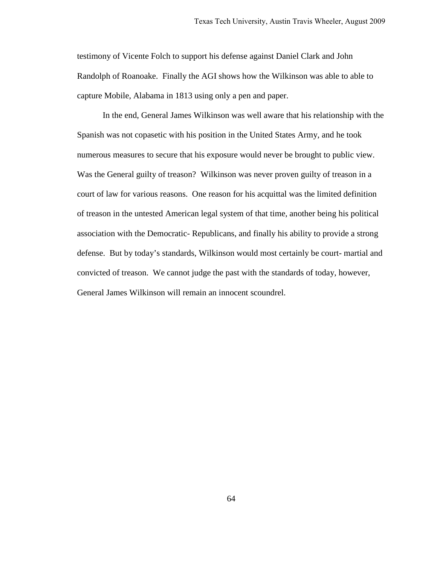testimony of Vicente Folch to support his defense against Daniel Clark and John Randolph of Roanoake. Finally the AGI shows how the Wilkinson was able to able to capture Mobile, Alabama in 1813 using only a pen and paper.

In the end, General James Wilkinson was well aware that his relationship with the Spanish was not copasetic with his position in the United States Army, and he took numerous measures to secure that his exposure would never be brought to public view. Was the General guilty of treason? Wilkinson was never proven guilty of treason in a court of law for various reasons. One reason for his acquittal was the limited definition of treason in the untested American legal system of that time, another being his political association with the Democratic- Republicans, and finally his ability to provide a strong defense. But by today's standards, Wilkinson would most certainly be court- martial and convicted of treason. We cannot judge the past with the standards of today, however, General James Wilkinson will remain an innocent scoundrel.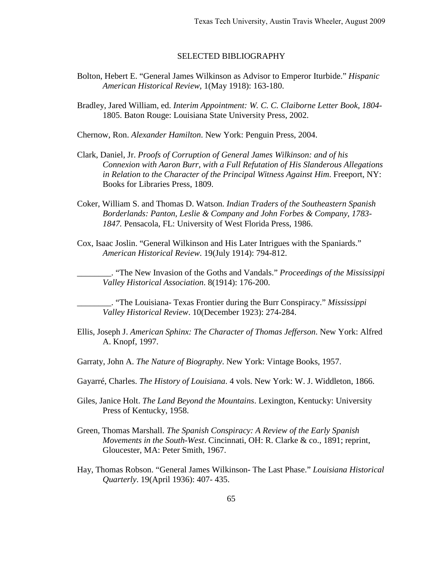### SELECTED BIBLIOGRAPHY

- Bolton, Hebert E. "General James Wilkinson as Advisor to Emperor Iturbide." *Hispanic American Historical Review*, 1(May 1918): 163-180.
- Bradley, Jared William, ed. *Interim Appointment: W. C. C. Claiborne Letter Book, 1804-*  1805. Baton Rouge: Louisiana State University Press, 2002.
- Chernow, Ron. *Alexander Hamilton*. New York: Penguin Press, 2004.
- Clark, Daniel, Jr. *Proofs of Corruption of General James Wilkinson: and of his Connexion with Aaron Burr, with a Full Refutation of His Slanderous Allegations in Relation to the Character of the Principal Witness Against Him*. Freeport, NY: Books for Libraries Press, 1809.
- Coker, William S. and Thomas D. Watson. *Indian Traders of the Southeastern Spanish Borderlands: Panton, Leslie & Company and John Forbes & Company, 1783- 1847.* Pensacola, FL: University of West Florida Press, 1986.
- Cox, Isaac Joslin. "General Wilkinson and His Later Intrigues with the Spaniards." *American Historical Review*. 19(July 1914): 794-812.

\_\_\_\_\_\_\_\_. "The New Invasion of the Goths and Vandals." *Proceedings of the Mississippi Valley Historical Association*. 8(1914): 176-200.

\_\_\_\_\_\_\_\_. "The Louisiana- Texas Frontier during the Burr Conspiracy." *Mississippi Valley Historical Review*. 10(December 1923): 274-284.

- Ellis, Joseph J. *American Sphinx: The Character of Thomas Jefferson*. New York: Alfred A. Knopf, 1997.
- Garraty, John A. *The Nature of Biography*. New York: Vintage Books, 1957.
- Gayarré, Charles. *The History of Louisiana*. 4 vols. New York: W. J. Widdleton, 1866.
- Giles, Janice Holt. *The Land Beyond the Mountains*. Lexington, Kentucky: University Press of Kentucky, 1958.
- Green, Thomas Marshall. *The Spanish Conspiracy: A Review of the Early Spanish Movements in the South-West*. Cincinnati, OH: R. Clarke & co., 1891; reprint, Gloucester, MA: Peter Smith, 1967.
- Hay, Thomas Robson. "General James Wilkinson- The Last Phase." *Louisiana Historical Quarterly*. 19(April 1936): 407- 435.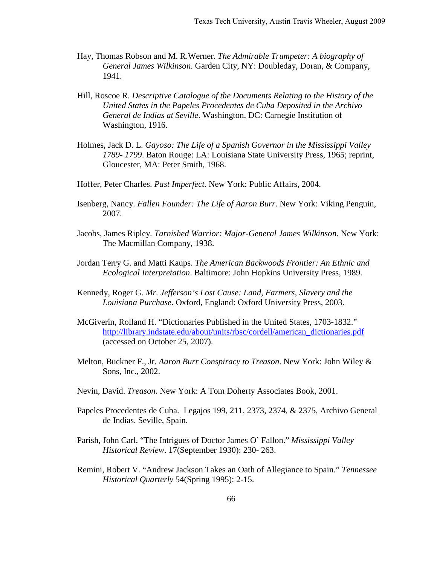- Hay, Thomas Robson and M. R.Werner. *The Admirable Trumpeter: A biography of General James Wilkinson*. Garden City, NY: Doubleday, Doran, & Company, 1941.
- Hill, Roscoe R. *Descriptive Catalogue of the Documents Relating to the History of the United States in the Papeles Procedentes de Cuba Deposited in the Archivo General de Indias at Seville*. Washington, DC: Carnegie Institution of Washington, 1916.
- Holmes, Jack D. L. *Gayoso: The Life of a Spanish Governor in the Mississippi Valley 1789- 1799*. Baton Rouge: LA: Louisiana State University Press, 1965; reprint, Gloucester, MA: Peter Smith, 1968.
- Hoffer, Peter Charles. *Past Imperfect.* New York: Public Affairs, 2004.
- Isenberg, Nancy. *Fallen Founder: The Life of Aaron Burr*. New York: Viking Penguin, 2007.
- Jacobs, James Ripley. *Tarnished Warrior: Major-General James Wilkinson.* New York: The Macmillan Company, 1938.
- Jordan Terry G. and Matti Kaups. *The American Backwoods Frontier: An Ethnic and Ecological Interpretation*. Baltimore: John Hopkins University Press, 1989.
- Kennedy, Roger G. *Mr. Jefferson's Lost Cause: Land, Farmers, Slavery and the Louisiana Purchase*. Oxford, England: Oxford University Press, 2003.
- McGiverin, Rolland H. "Dictionaries Published in the United States, 1703-1832." [http://library.indstate.edu/about/units/rbsc/cordell/american\\_dictionaries.pdf](http://library.indstate.edu/about/units/rbsc/cordell/american_dictionaries.pdf) (accessed on October 25, 2007).
- Melton, Buckner F., Jr. *Aaron Burr Conspiracy to Treason*. New York: John Wiley & Sons, Inc., 2002.
- Nevin, David. *Treason*. New York: A Tom Doherty Associates Book, 2001.
- Papeles Procedentes de Cuba. Legajos 199, 211, 2373, 2374, & 2375, Archivo General de Indias. Seville, Spain.
- Parish, John Carl. "The Intrigues of Doctor James O' Fallon." *Mississippi Valley Historical Review*. 17(September 1930): 230- 263.
- Remini, Robert V. "Andrew Jackson Takes an Oath of Allegiance to Spain." *Tennessee Historical Quarterly* 54(Spring 1995): 2-15.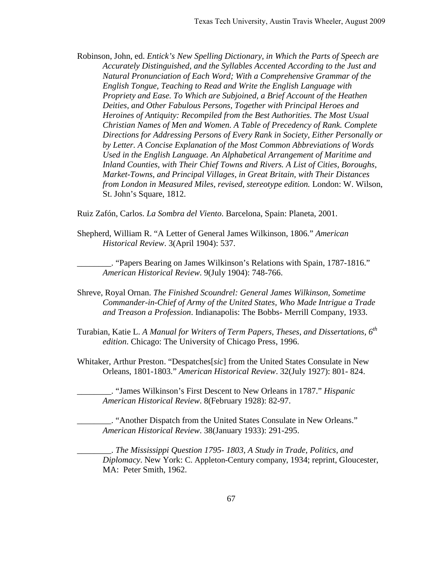Robinson, John, ed. *Entick's New Spelling Dictionary, in Which the Parts of Speech are Accurately Distinguished, and the Syllables Accented According to the Just and Natural Pronunciation of Each Word; With a Comprehensive Grammar of the English Tongue, Teaching to Read and Write the English Language with Propriety and Ease. To Which are Subjoined, a Brief Account of the Heathen Deities, and Other Fabulous Persons, Together with Principal Heroes and Heroines of Antiquity: Recompiled from the Best Authorities. The Most Usual Christian Names of Men and Women. A Table of Precedency of Rank. Complete Directions for Addressing Persons of Every Rank in Society, Either Personally or by Letter. A Concise Explanation of the Most Common Abbreviations of Words Used in the English Language. An Alphabetical Arrangement of Maritime and Inland Counties, with Their Chief Towns and Rivers. A List of Cities, Boroughs, Market-Towns, and Principal Villages, in Great Britain, with Their Distances from London in Measured Miles, revised, stereotype edition.* London: W. Wilson, St. John's Square, 1812.

Ruiz Zafón, Carlos. *La Sombra del Viento*. Barcelona, Spain: Planeta, 2001.

Shepherd, William R. "A Letter of General James Wilkinson, 1806." *American Historical Review*. 3(April 1904): 537.

\_\_\_\_\_\_\_\_. "Papers Bearing on James Wilkinson's Relations with Spain, 1787-1816." *American Historical Review*. 9(July 1904): 748-766.

- Shreve, Royal Ornan. *The Finished Scoundrel: General James Wilkinson, Sometime Commander-in-Chief of Army of the United States, Who Made Intrigue a Trade and Treason a Profession*. Indianapolis: The Bobbs- Merrill Company, 1933.
- Turabian, Katie L. *A Manual for Writers of Term Papers, Theses, and Dissertations, 6th edition*. Chicago: The University of Chicago Press, 1996.
- Whitaker, Arthur Preston. "Despatches[*sic*] from the United States Consulate in New Orleans, 1801-1803." *American Historical Review*. 32(July 1927): 801- 824.

\_\_\_\_\_\_\_\_. "James Wilkinson's First Descent to New Orleans in 1787." *Hispanic American Historical Review*. 8(February 1928): 82-97.

\_\_\_\_\_\_\_\_. "Another Dispatch from the United States Consulate in New Orleans." *American Historical Review*. 38(January 1933): 291-295.

\_\_\_\_\_\_\_\_. *The Mississippi Question 1795- 1803, A Study in Trade, Politics, and Diplomacy*. New York: C. Appleton-Century company, 1934; reprint, Gloucester, MA: Peter Smith, 1962.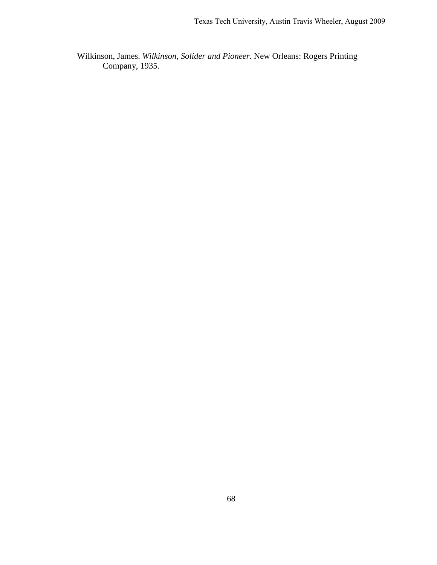Wilkinson, James. *Wilkinson, Solider and Pioneer*. New Orleans: Rogers Printing Company, 1935.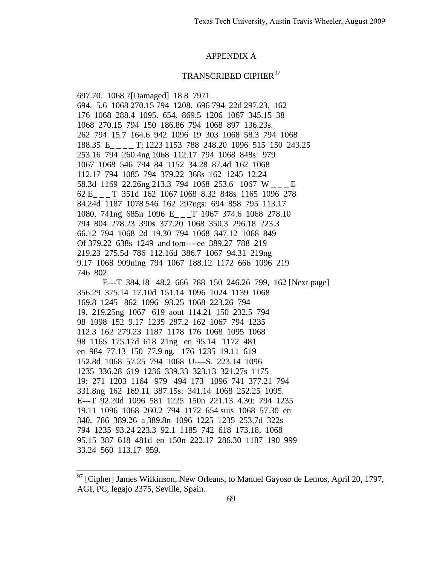### APPENDIX A

## TRANSCRIBED CIPHER<sup>97</sup>

697.70. 1068 7[Damaged] 18.8 7971 694. 5.6 1068 270.15 794 1208. 696 794 22d 297.23, 162 176 1068 288.4 1095. 654. 869.5 1206 1067 345.15 38 1068 270.15 794 150 186.86 794 1068 897 136.23s. 262 794 15.7 164.6 942 1096 19 303 1068 58.3 794 1068 188.35 E\_ \_ \_ \_ T; 1223 1153 788 248.20 1096 515 150 243.25 253.16 794 260.4ng 1068 112.17 794 1068 848s: 979 1067 1068 546 794 84 1152 34.28 87.4d 162 1068 112.17 794 1085 794 379.22 368s 162 1245 12.24 58.3d 1169 22.26ng 213.3 794 1068 253.6 1067 W \_\_\_ E 62 E\_ \_ \_ T 351d 162 1067 1068 8.32 848s 1165 1096 278 84.24d 1187 1078 546 162 297ngs: 694 858 795 113.17 1080, 741ng 685n 1096 E\_ \_ \_T 1067 374.6 1068 278.10 794 804 278.23 390s 377.20 1068 350.3 296.18 223.3 66.12 794 1068 2d 19.30 794 1068 347.12 1068 849 Of 379.22 638s 1249 and tom----ee 389.27 788 219 219.23 275.5d 786 112.16d 386.7 1067 94.31 219ng 9.17 1068 909ning 794 1067 188.12 1172 666 1096 219 746 802.

 E---T 384.18 48.2 666 788 150 246.26 799, 162 [Next page] 356.29 375.14 17.10d 151.14 1096 1024 1139 1068 169.8 1245 862 1096 93.25 1068 223.26 794 19, 219.25ng 1067 619 aout 114.21 150 232.5 794 98 1098 152 9.17 1235 287.2 162 1067 794 1235 112.3 162 279.23 1187 1178 176 1068 1095 1068 98 1165 175.17d 618 21ng en 95.14 1172 481 en 984 77.13 150 77.9 ng. 176 1235 19.11 619 152.8d 1068 57.25 794 1068 U----S. 223.14 1096 1235 336.28 619 1236 339.33 323.13 321.27s 1175 19: 271 1203 1164 979 494 173 1096 741 377.21 794 331.8ng 162 169.11 387.15s: 341.14 1068 252.25 1095. E---T 92.20d 1096 581 1225 150n 221.13 4.30: 794 1235 19.11 1096 1068 260.2 794 1172 654 suis 1068 57.30 en 340, 786 389.26 a 389.8n 1096 1225 1235 253.7d 322s 794 1235 93.24 223.3 92.1 1185 742 618 173.18, 1068 95.15 387 618 481d en 150n 222.17 286.30 1187 190 999 33.24 560 113.17 959.

<span id="page-71-0"></span> $97$  [Cipher] James Wilkinson, New Orleans, to Manuel Gayoso de Lemos, April 20, 1797, AGI, PC, legajo 2375, Seville, Spain.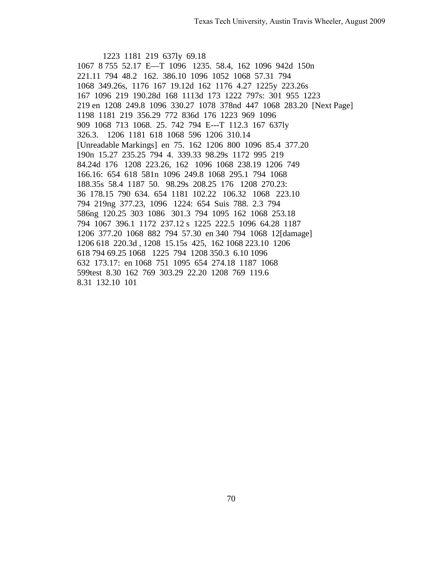1223 1181 219 637ly 69.18 1067 8 755 52.17 E-T 1096 1235. 58.4, 162 1096 942d 150n 221.11 794 48.2 162. 386.10 1096 1052 1068 57.31 794 1068 349.26s, 1176 167 19.12d 162 1176 4.27 1225y 223.26s 167 1096 219 190.28d 168 1113d 173 1222 797s: 301 955 1223 219 en 1208 249.8 1096 330.27 1078 378nd 447 1068 283.20 [Next Page] 1198 1181 219 356.29 772 836d 176 1223 969 1096 909 1068 713 1068. 25. 742 794 E---T 112.3 167 637ly 326.3. 1206 1181 618 1068 596 1206 310.14 [Unreadable Markings] en 75. 162 1206 800 1096 85.4 377.20 190n 15.27 235.25 794 4. 339.33 98.29s 1172 995 219 84.24d 176 1208 223.26, 162 1096 1068 238.19 1206 749 166.16: 654 618 581n 1096 249.8 1068 295.1 794 1068 188.35s 58.4 1187 50. 98.29s 208.25 176 1208 270.23: 36 178.15 790 634. 654 1181 102.22 106.32 1068 223.10 794 219ng 377.23, 1096 1224: 654 Suis 788. 2.3 794 586ng 120.25 303 1086 301.3 794 1095 162 1068 253.18 794 1067 396.1 1172 237.12 s 1225 222.5 1096 64.28 1187 1206 377.20 1068 882 794 57.30 en 340 794 1068 12[damage] 1206 618 220.3d, 1208 15.15s 425, 162 1068 223.10 1206 618 794 69.25 1068 1225 794 1208 350.3 6.10 1096 632 173.17: en 1068 751 1095 654 274.18 1187 1068 599test 8.30 162 769 303.29 22.20 1208 769 119.6 8.31 132.10 101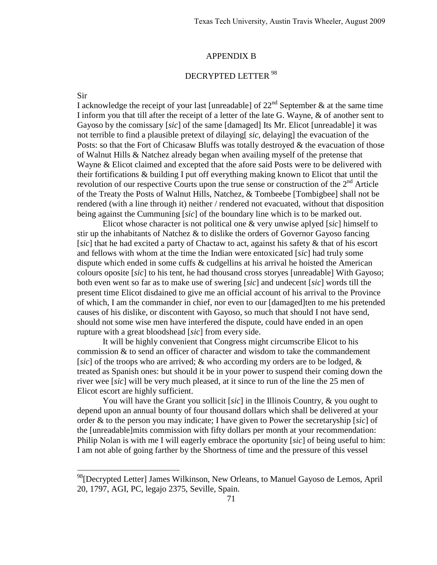#### APPENDIX B

# DECRYPTED LETTER [98](#page-73-0)

#### Sir

 $\overline{a}$ 

I acknowledge the receipt of your last [unreadable] of  $22<sup>nd</sup>$  September & at the same time I inform you that till after the receipt of a letter of the late G. Wayne, & of another sent to Gayoso by the comissary [*sic*] of the same [damaged] Its Mr. Elicot [unreadable] it was not terrible to find a plausible pretext of dilaying[ *sic*, delaying] the evacuation of the Posts: so that the Fort of Chicasaw Bluffs was totally destroyed & the evacuation of those of Walnut Hills & Natchez already began when availing myself of the pretense that Wayne & Elicot claimed and excepted that the afore said Posts were to be delivered with their fortifications & building I put off everything making known to Elicot that until the revolution of our respective Courts upon the true sense or construction of the  $2<sup>nd</sup>$  Article of the Treaty the Posts of Walnut Hills, Natchez, & Tombeebe [Tombigbee] shall not be rendered (with a line through it) neither / rendered not evacuated, without that disposition being against the Cummuning [*sic*] of the boundary line which is to be marked out.

 Elicot whose character is not political one & very unwise aplyed [*sic*] himself to stir up the inhabitants of Natchez & to dislike the orders of Governor Gayoso fancing [*sic*] that he had excited a party of Chactaw to act, against his safety & that of his escort and fellows with whom at the time the Indian were entoxicated [*sic*] had truly some dispute which ended in some cuffs & cudgellins at his arrival he hoisted the American colours oposite [*sic*] to his tent, he had thousand cross storyes [unreadable] With Gayoso; both even went so far as to make use of swering [*sic*] and undecent [*sic*] words till the present time Elicot disdained to give me an official account of his arrival to the Province of which, I am the commander in chief, nor even to our [damaged]ten to me his pretended causes of his dislike, or discontent with Gayoso, so much that should I not have send, should not some wise men have interfered the dispute, could have ended in an open rupture with a great bloodshead [*sic*] from every side.

It will be highly convenient that Congress might circumscribe Elicot to his commission & to send an officer of character and wisdom to take the commandement [*sic*] of the troops who are arrived; & who according my orders are to be lodged, & treated as Spanish ones: but should it be in your power to suspend their coming down the river wee [*sic*] will be very much pleased, at it since to run of the line the 25 men of Elicot escort are highly sufficient.

You will have the Grant you sollicit [*sic*] in the Illinois Country, & you ought to depend upon an annual bounty of four thousand dollars which shall be delivered at your order & to the person you may indicate; I have given to Power the secretaryship [*sic*] of the [unreadable]mits commission with fifty dollars per month at your recommendation: Philip Nolan is with me I will eagerly embrace the oportunity [*sic*] of being useful to him: I am not able of going farther by the Shortness of time and the pressure of this vessel

<span id="page-73-0"></span><sup>&</sup>lt;sup>98</sup>[Decrypted Letter] James Wilkinson, New Orleans, to Manuel Gayoso de Lemos, April 20, 1797, AGI, PC, legajo 2375, Seville, Spain.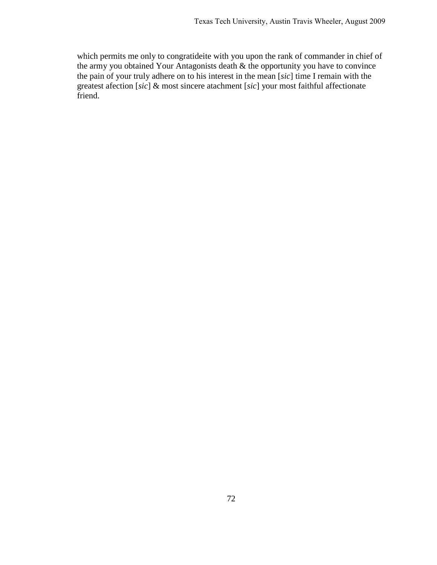which permits me only to congratideite with you upon the rank of commander in chief of the army you obtained Your Antagonists death & the opportunity you have to convince the pain of your truly adhere on to his interest in the mean [*sic*] time I remain with the greatest afection [*sic*] & most sincere atachment [*sic*] your most faithful affectionate friend.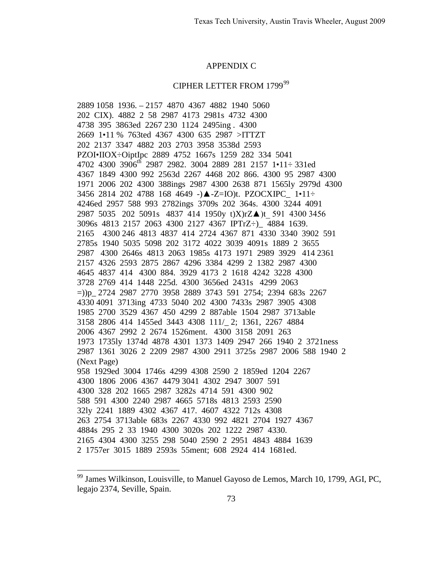## **APPENDIX C**

## CIPHER LETTER FROM 179999

<span id="page-75-0"></span><sup>&</sup>lt;sup>99</sup> James Wilkinson, Louisville, to Manuel Gayoso de Lemos, March 10, 1799, AGI, PC, legajo 2374, Seville, Spain.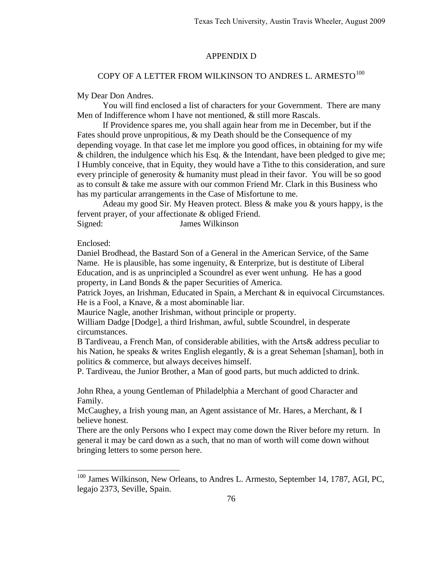## APPENDIX D

# COPY OF A LETTER FROM WILKINSON TO ANDRES L. ARMESTO<sup>[100](#page-78-0)</sup>

#### My Dear Don Andres.

 You will find enclosed a list of characters for your Government. There are many Men of Indifference whom I have not mentioned, & still more Rascals.

 If Providence spares me, you shall again hear from me in December, but if the Fates should prove unpropitious,  $\&$  my Death should be the Consequence of my depending voyage. In that case let me implore you good offices, in obtaining for my wife & children, the indulgence which his Esq. & the Intendant, have been pledged to give me; I Humbly conceive, that in Equity, they would have a Tithe to this consideration, and sure every principle of generosity & humanity must plead in their favor. You will be so good as to consult & take me assure with our common Friend Mr. Clark in this Business who has my particular arrangements in the Case of Misfortune to me.

 Adeau my good Sir. My Heaven protect. Bless & make you & yours happy, is the fervent prayer, of your affectionate & obliged Friend. Signed: James Wilkinson

### Enclosed:

 $\overline{a}$ 

Daniel Brodhead, the Bastard Son of a General in the American Service, of the Same Name. He is plausible, has some ingenuity, & Enterprize, but is destitute of Liberal Education, and is as unprincipled a Scoundrel as ever went unhung. He has a good property, in Land Bonds & the paper Securities of America.

Patrick Joyes, an Irishman, Educated in Spain, a Merchant & in equivocal Circumstances. He is a Fool, a Knave, & a most abominable liar.

Maurice Nagle, another Irishman, without principle or property.

William Dadge [Dodge], a third Irishman, awful, subtle Scoundrel, in desperate circumstances.

B Tardiveau, a French Man, of considerable abilities, with the Arts& address peculiar to his Nation, he speaks & writes English elegantly, & is a great Seheman [shaman], both in politics & commerce, but always deceives himself.

P. Tardiveau, the Junior Brother, a Man of good parts, but much addicted to drink.

John Rhea, a young Gentleman of Philadelphia a Merchant of good Character and Family.

McCaughey, a Irish young man, an Agent assistance of Mr. Hares, a Merchant, & I believe honest.

There are the only Persons who I expect may come down the River before my return. In general it may be card down as a such, that no man of worth will come down without bringing letters to some person here.

<span id="page-78-0"></span><sup>&</sup>lt;sup>100</sup> James Wilkinson, New Orleans, to Andres L. Armesto, September 14, 1787, AGI, PC, legajo 2373, Seville, Spain.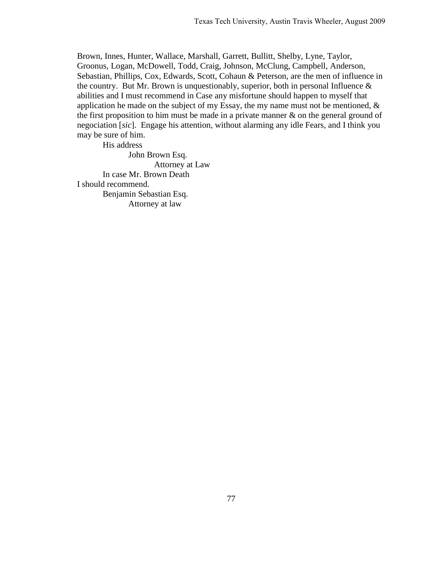Brown, Innes, Hunter, Wallace, Marshall, Garrett, Bullitt, Shelby, Lyne, Taylor, Groonus, Logan, McDowell, Todd, Craig, Johnson, McClung, Campbell, Anderson, Sebastian, Phillips, Cox, Edwards, Scott, Cohaun & Peterson, are the men of influence in the country. But Mr. Brown is unquestionably, superior, both in personal Influence  $\&$ abilities and I must recommend in Case any misfortune should happen to myself that application he made on the subject of my Essay, the my name must not be mentioned,  $\&$ the first proposition to him must be made in a private manner  $\&$  on the general ground of negociation [*sic*]. Engage his attention, without alarming any idle Fears, and I think you may be sure of him.

His address John Brown Esq. Attorney at Law In case Mr. Brown Death I should recommend. Benjamin Sebastian Esq. Attorney at law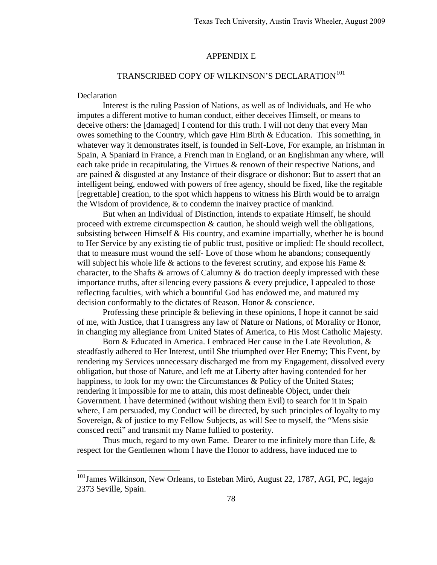#### APPENDIX E

# TRANSCRIBED COPY OF WILKINSON'S DECLARATION<sup>[101](#page-80-0)</sup>

## **Declaration**

 $\overline{a}$ 

 Interest is the ruling Passion of Nations, as well as of Individuals, and He who imputes a different motive to human conduct, either deceives Himself, or means to deceive others: the [damaged] I contend for this truth. I will not deny that every Man owes something to the Country, which gave Him Birth & Education. This something, in whatever way it demonstrates itself, is founded in Self-Love, For example, an Irishman in Spain, A Spaniard in France, a French man in England, or an Englishman any where, will each take pride in recapitulating, the Virtues & renown of their respective Nations, and are pained & disgusted at any Instance of their disgrace or dishonor: But to assert that an intelligent being, endowed with powers of free agency, should be fixed, like the regitable [regrettable] creation, to the spot which happens to witness his Birth would be to arraign the Wisdom of providence, & to condemn the inaivey practice of mankind.

 But when an Individual of Distinction, intends to expatiate Himself, he should proceed with extreme circumspection & caution, he should weigh well the obligations, subsisting between Himself & His country, and examine impartially, whether he is bound to Her Service by any existing tie of public trust, positive or implied: He should recollect, that to measure must wound the self- Love of those whom he abandons; consequently will subject his whole life & actions to the feverest scrutiny, and expose his Fame & character, to the Shafts & arrows of Calumny & do traction deeply impressed with these importance truths, after silencing every passions & every prejudice, I appealed to those reflecting faculties, with which a bountiful God has endowed me, and matured my decision conformably to the dictates of Reason. Honor & conscience.

 Professing these principle & believing in these opinions, I hope it cannot be said of me, with Justice, that I transgress any law of Nature or Nations, of Morality or Honor, in changing my allegiance from United States of America, to His Most Catholic Majesty.

 Born & Educated in America. I embraced Her cause in the Late Revolution, & steadfastly adhered to Her Interest, until She triumphed over Her Enemy; This Event, by rendering my Services unnecessary discharged me from my Engagement, dissolved every obligation, but those of Nature, and left me at Liberty after having contended for her happiness, to look for my own: the Circumstances & Policy of the United States; rendering it impossible for me to attain, this most defineable Object, under their Government. I have determined (without wishing them Evil) to search for it in Spain where, I am persuaded, my Conduct will be directed, by such principles of loyalty to my Sovereign, & of justice to my Fellow Subjects, as will See to myself, the "Mens sisie consced recti" and transmit my Name fullied to posterity.

 Thus much, regard to my own Fame. Dearer to me infinitely more than Life, & respect for the Gentlemen whom I have the Honor to address, have induced me to

<span id="page-80-0"></span><sup>&</sup>lt;sup>101</sup>James Wilkinson, New Orleans, to Esteban Miró, August 22, 1787, AGI, PC, legajo 2373 Seville, Spain.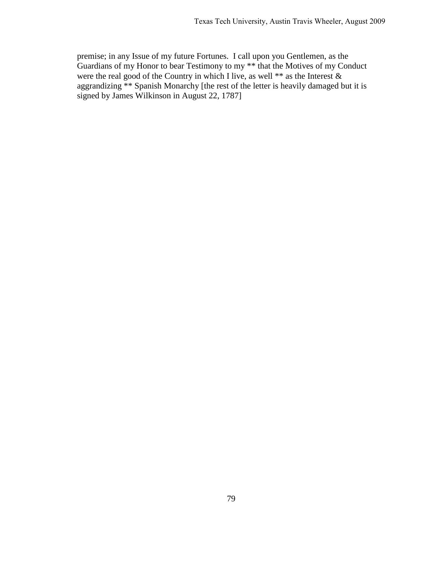premise; in any Issue of my future Fortunes. I call upon you Gentlemen, as the Guardians of my Honor to bear Testimony to my \*\* that the Motives of my Conduct were the real good of the Country in which I live, as well \*\* as the Interest  $\&$ aggrandizing \*\* Spanish Monarchy [the rest of the letter is heavily damaged but it is signed by James Wilkinson in August 22, 1787]